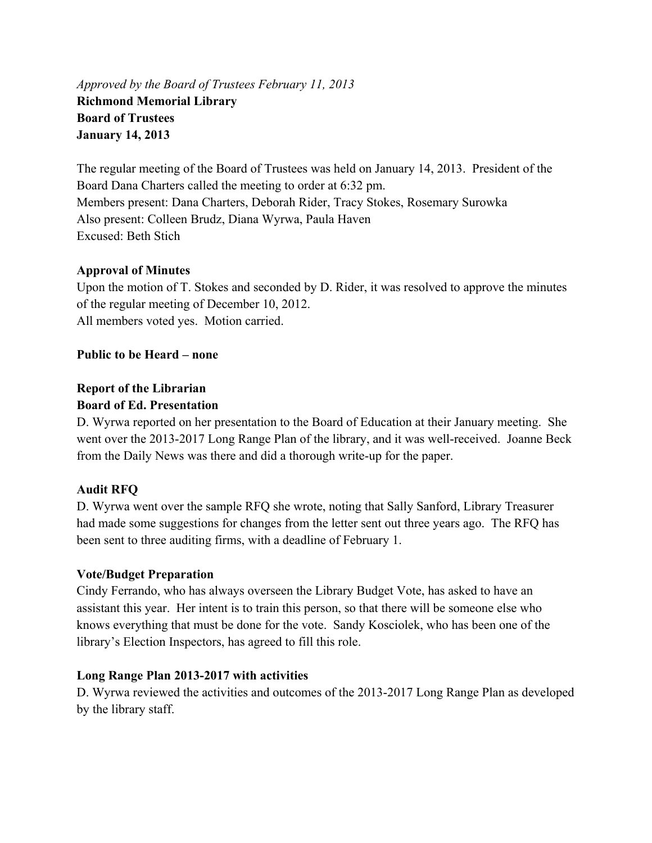*Approved by the Board of Trustees February 11, 2013*  **Richmond Memorial Library Board of Trustees January 14, 2013** 

The regular meeting of the Board of Trustees was held on January 14, 2013. President of the Board Dana Charters called the meeting to order at 6:32 pm. Members present: Dana Charters, Deborah Rider, Tracy Stokes, Rosemary Surowka Also present: Colleen Brudz, Diana Wyrwa, Paula Haven Excused: Beth Stich

# **Approval of Minutes**

Upon the motion of T. Stokes and seconded by D. Rider, it was resolved to approve the minutes of the regular meeting of December 10, 2012. All members voted yes. Motion carried.

### **Public to be Heard – none**

# **Report of the Librarian Board of Ed. Presentation**

D. Wyrwa reported on her presentation to the Board of Education at their January meeting. She went over the 2013-2017 Long Range Plan of the library, and it was well-received. Joanne Beck from the Daily News was there and did a thorough write-up for the paper.

# **Audit RFQ**

D. Wyrwa went over the sample RFQ she wrote, noting that Sally Sanford, Library Treasurer had made some suggestions for changes from the letter sent out three years ago. The RFQ has been sent to three auditing firms, with a deadline of February 1.

# **Vote/Budget Preparation**

Cindy Ferrando, who has always overseen the Library Budget Vote, has asked to have an assistant this year. Her intent is to train this person, so that there will be someone else who knows everything that must be done for the vote. Sandy Kosciolek, who has been one of the library's Election Inspectors, has agreed to fill this role.

#### **Long Range Plan 2013-2017 with activities**

D. Wyrwa reviewed the activities and outcomes of the 2013-2017 Long Range Plan as developed by the library staff.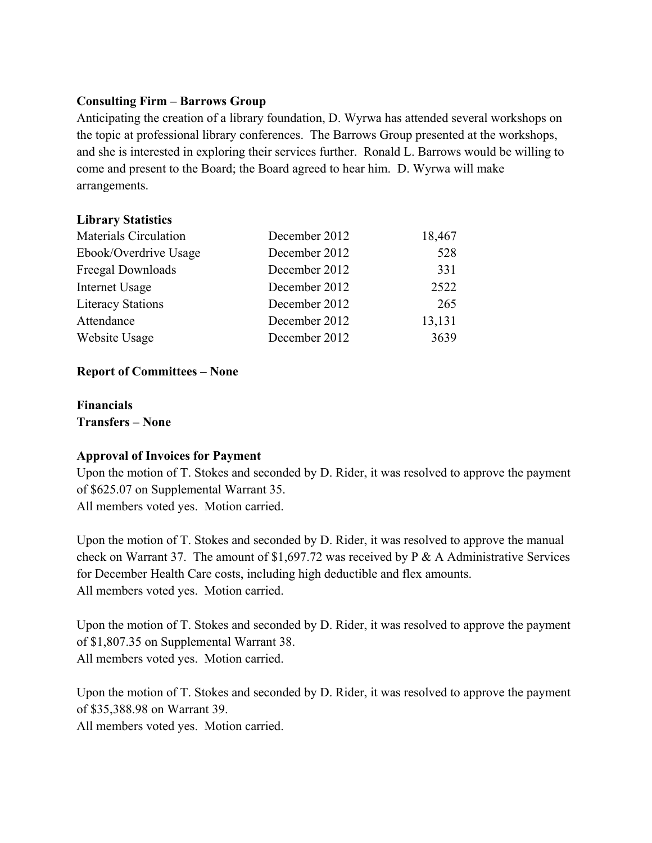### **Consulting Firm – Barrows Group**

Anticipating the creation of a library foundation, D. Wyrwa has attended several workshops on the topic at professional library conferences. The Barrows Group presented at the workshops, and she is interested in exploring their services further. Ronald L. Barrows would be willing to come and present to the Board; the Board agreed to hear him. D. Wyrwa will make arrangements.

### **Library Statistics**

| Materials Circulation    | December 2012 | 18,467 |
|--------------------------|---------------|--------|
| Ebook/Overdrive Usage    | December 2012 | 528    |
| Freegal Downloads        | December 2012 | 331    |
| Internet Usage           | December 2012 | 2522   |
| <b>Literacy Stations</b> | December 2012 | 265    |
| Attendance               | December 2012 | 13,131 |
| Website Usage            | December 2012 | 3639   |

# **Report of Committees – None**

**Financials Transfers – None** 

#### **Approval of Invoices for Payment**

Upon the motion of T. Stokes and seconded by D. Rider, it was resolved to approve the payment of \$625.07 on Supplemental Warrant 35. All members voted yes. Motion carried.

Upon the motion of T. Stokes and seconded by D. Rider, it was resolved to approve the manual check on Warrant 37. The amount of \$1,697.72 was received by P & A Administrative Services for December Health Care costs, including high deductible and flex amounts. All members voted yes. Motion carried.

Upon the motion of T. Stokes and seconded by D. Rider, it was resolved to approve the payment of \$1,807.35 on Supplemental Warrant 38. All members voted yes. Motion carried.

Upon the motion of T. Stokes and seconded by D. Rider, it was resolved to approve the payment of \$35,388.98 on Warrant 39.

All members voted yes. Motion carried.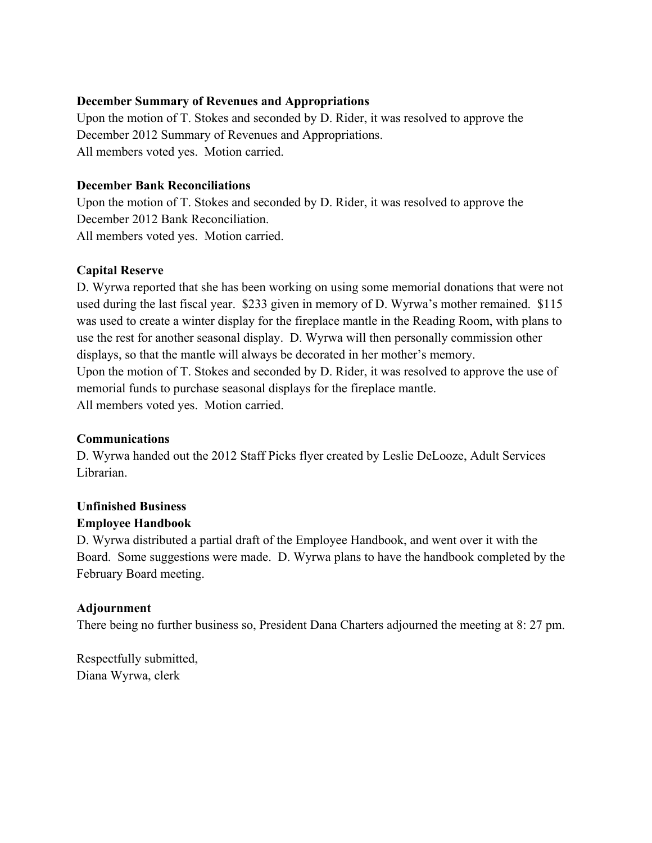### **December Summary of Revenues and Appropriations**

Upon the motion of T. Stokes and seconded by D. Rider, it was resolved to approve the December 2012 Summary of Revenues and Appropriations. All members voted yes. Motion carried.

### **December Bank Reconciliations**

Upon the motion of T. Stokes and seconded by D. Rider, it was resolved to approve the December 2012 Bank Reconciliation. All members voted yes. Motion carried.

# **Capital Reserve**

D. Wyrwa reported that she has been working on using some memorial donations that were not used during the last fiscal year. \$233 given in memory of D. Wyrwa's mother remained. \$115 was used to create a winter display for the fireplace mantle in the Reading Room, with plans to use the rest for another seasonal display. D. Wyrwa will then personally commission other displays, so that the mantle will always be decorated in her mother's memory. Upon the motion of T. Stokes and seconded by D. Rider, it was resolved to approve the use of memorial funds to purchase seasonal displays for the fireplace mantle. All members voted yes. Motion carried.

# **Communications**

D. Wyrwa handed out the 2012 Staff Picks flyer created by Leslie DeLooze, Adult Services Librarian.

# **Unfinished Business**

# **Employee Handbook**

D. Wyrwa distributed a partial draft of the Employee Handbook, and went over it with the Board. Some suggestions were made. D. Wyrwa plans to have the handbook completed by the February Board meeting.

# **Adjournment**

There being no further business so, President Dana Charters adjourned the meeting at 8: 27 pm.

Respectfully submitted, Diana Wyrwa, clerk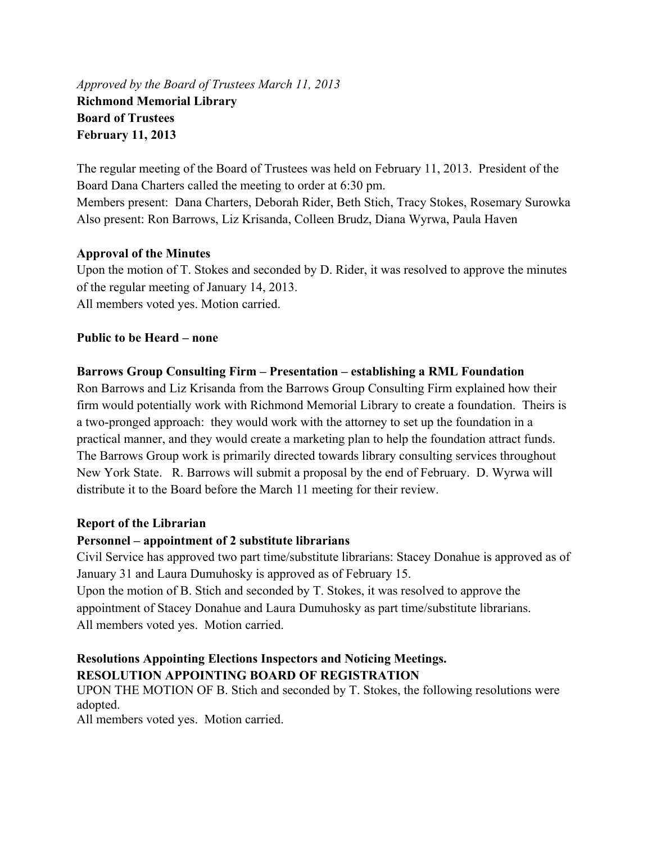*Approved by the Board of Trustees March 11, 2013*  **Richmond Memorial Library Board of Trustees February 11, 2013** 

The regular meeting of the Board of Trustees was held on February 11, 2013. President of the Board Dana Charters called the meeting to order at 6:30 pm. Members present: Dana Charters, Deborah Rider, Beth Stich, Tracy Stokes, Rosemary Surowka Also present: Ron Barrows, Liz Krisanda, Colleen Brudz, Diana Wyrwa, Paula Haven

### **Approval of the Minutes**

Upon the motion of T. Stokes and seconded by D. Rider, it was resolved to approve the minutes of the regular meeting of January 14, 2013. All members voted yes. Motion carried.

### **Public to be Heard – none**

### **Barrows Group Consulting Firm – Presentation – establishing a RML Foundation**

Ron Barrows and Liz Krisanda from the Barrows Group Consulting Firm explained how their firm would potentially work with Richmond Memorial Library to create a foundation. Theirs is a two-pronged approach: they would work with the attorney to set up the foundation in a practical manner, and they would create a marketing plan to help the foundation attract funds. The Barrows Group work is primarily directed towards library consulting services throughout New York State. R. Barrows will submit a proposal by the end of February. D. Wyrwa will distribute it to the Board before the March 11 meeting for their review.

#### **Report of the Librarian**

#### **Personnel – appointment of 2 substitute librarians**

Civil Service has approved two part time/substitute librarians: Stacey Donahue is approved as of January 31 and Laura Dumuhosky is approved as of February 15.

Upon the motion of B. Stich and seconded by T. Stokes, it was resolved to approve the appointment of Stacey Donahue and Laura Dumuhosky as part time/substitute librarians. All members voted yes. Motion carried.

# **Resolutions Appointing Elections Inspectors and Noticing Meetings. RESOLUTION APPOINTING BOARD OF REGISTRATION**

UPON THE MOTION OF B. Stich and seconded by T. Stokes, the following resolutions were adopted.

All members voted yes. Motion carried.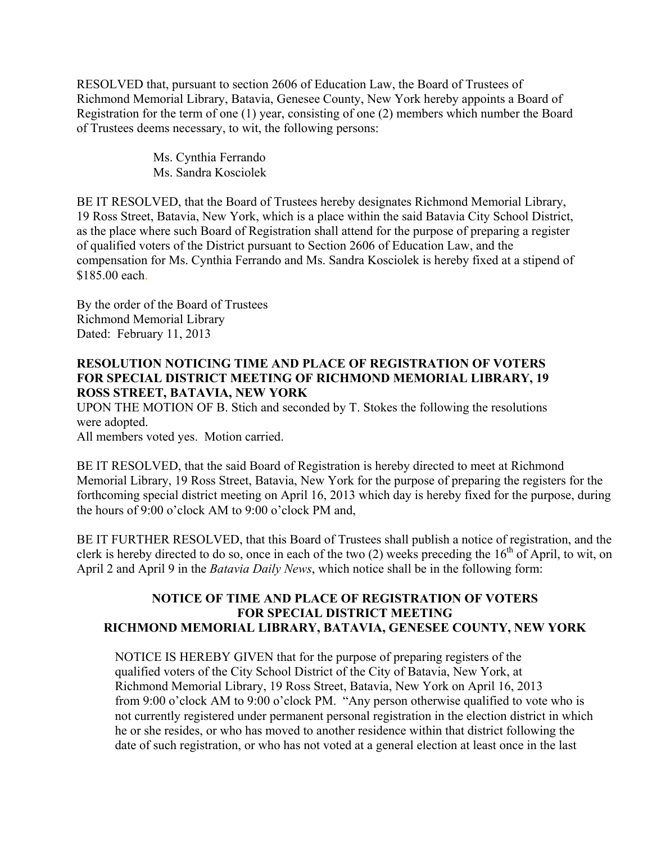RESOLVED that, pursuant to section 2606 of Education Law, the Board of Trustees of Richmond Memorial Library, Batavia, Genesee County, New York hereby appoints a Board of Registration for the term of one (1) year, consisting of one (2) members which number the Board of Trustees deems necessary, to wit, the following persons:

> Ms. Cynthia Ferrando Ms. Sandra Kosciolek

BE IT RESOLVED, that the Board of Trustees hereby designates Richmond Memorial Library, 19 Ross Street, Batavia, New York, which is a place within the said Batavia City School District, as the place where such Board of Registration shall attend for the purpose of preparing a register of qualified voters of the District pursuant to Section 2606 of Education Law, and the compensation for Ms. Cynthia Ferrando and Ms. Sandra Kosciolek is hereby fixed at a stipend of \$185.00 each.

By the order of the Board of Trustees Richmond Memorial Library Dated: February 11, 2013

# **RESOLUTION NOTICING TIME AND PLACE OF REGISTRATION OF VOTERS FOR SPECIAL DISTRICT MEETING OF RICHMOND MEMORIAL LIBRARY, 19 ROSS STREET, BATAVIA, NEW YORK**

UPON THE MOTION OF B. Stich and seconded by T. Stokes the following the resolutions were adopted.

All members voted yes. Motion carried.

BE IT RESOLVED, that the said Board of Registration is hereby directed to meet at Richmond Memorial Library, 19 Ross Street, Batavia, New York for the purpose of preparing the registers for the forthcoming special district meeting on April 16, 2013 which day is hereby fixed for the purpose, during the hours of 9:00 o'clock AM to 9:00 o'clock PM and,

BE IT FURTHER RESOLVED, that this Board of Trustees shall publish a notice of registration, and the clerk is hereby directed to do so, once in each of the two  $(2)$  weeks preceding the  $16<sup>th</sup>$  of April, to wit, on April 2 and April 9 in the *Batavia Daily News*, which notice shall be in the following form:

# **NOTICE OF TIME AND PLACE OF REGISTRATION OF VOTERS FOR SPECIAL DISTRICT MEETING RICHMOND MEMORIAL LIBRARY, BATAVIA, GENESEE COUNTY, NEW YORK**

NOTICE IS HEREBY GIVEN that for the purpose of preparing registers of the qualified voters of the City School District of the City of Batavia, New York, at Richmond Memorial Library, 19 Ross Street, Batavia, New York on April 16, 2013 from 9:00 o'clock AM to 9:00 o'clock PM. "Any person otherwise qualified to vote who is not currently registered under permanent personal registration in the election district in which he or she resides, or who has moved to another residence within that district following the date of such registration, or who has not voted at a general election at least once in the last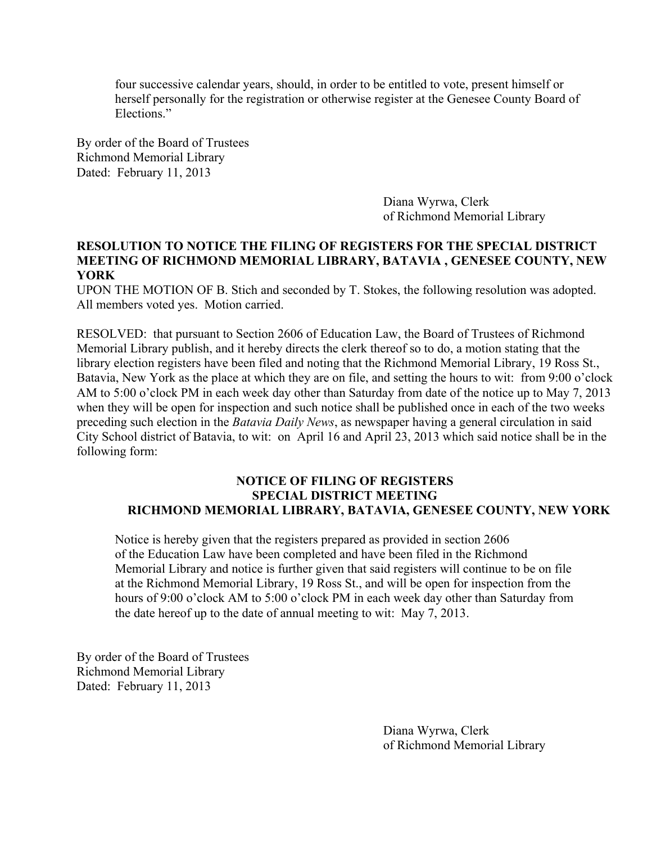four successive calendar years, should, in order to be entitled to vote, present himself or herself personally for the registration or otherwise register at the Genesee County Board of Elections."

By order of the Board of Trustees Richmond Memorial Library Dated: February 11, 2013

> Diana Wyrwa, Clerk of Richmond Memorial Library

#### **RESOLUTION TO NOTICE THE FILING OF REGISTERS FOR THE SPECIAL DISTRICT MEETING OF RICHMOND MEMORIAL LIBRARY, BATAVIA , GENESEE COUNTY, NEW YORK**

UPON THE MOTION OF B. Stich and seconded by T. Stokes, the following resolution was adopted. All members voted yes. Motion carried.

RESOLVED: that pursuant to Section 2606 of Education Law, the Board of Trustees of Richmond Memorial Library publish, and it hereby directs the clerk thereof so to do, a motion stating that the library election registers have been filed and noting that the Richmond Memorial Library, 19 Ross St., Batavia, New York as the place at which they are on file, and setting the hours to wit: from 9:00 o'clock AM to 5:00 o'clock PM in each week day other than Saturday from date of the notice up to May 7, 2013 when they will be open for inspection and such notice shall be published once in each of the two weeks preceding such election in the *Batavia Daily News*, as newspaper having a general circulation in said City School district of Batavia, to wit: on April 16 and April 23, 2013 which said notice shall be in the following form:

#### **NOTICE OF FILING OF REGISTERS SPECIAL DISTRICT MEETING RICHMOND MEMORIAL LIBRARY, BATAVIA, GENESEE COUNTY, NEW YORK**

 Notice is hereby given that the registers prepared as provided in section 2606 of the Education Law have been completed and have been filed in the Richmond Memorial Library and notice is further given that said registers will continue to be on file at the Richmond Memorial Library, 19 Ross St., and will be open for inspection from the hours of 9:00 o'clock AM to 5:00 o'clock PM in each week day other than Saturday from the date hereof up to the date of annual meeting to wit: May 7, 2013.

By order of the Board of Trustees Richmond Memorial Library Dated: February 11, 2013

> Diana Wyrwa, Clerk of Richmond Memorial Library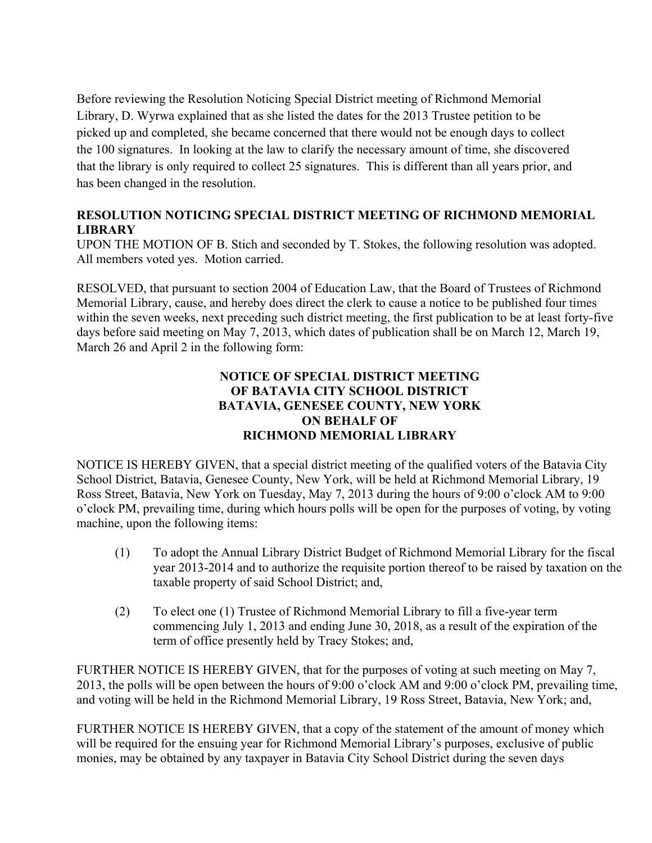Before reviewing the Resolution Noticing Special District meeting of Richmond Memorial Library, D. Wyrwa explained that as she listed the dates for the 2013 Trustee petition to be picked up and completed, she became concerned that there would not be enough days to collect the 100 signatures. In looking at the law to clarify the necessary amount of time, she discovered that the library is only required to collect 25 signatures. This is different than all years prior, and has been changed in the resolution.

# **RESOLUTION NOTICING SPECIAL DISTRICT MEETING OF RICHMOND MEMORIAL LIBRARY**

UPON THE MOTION OF B. Stich and seconded by T. Stokes, the following resolution was adopted. All members voted yes. Motion carried.

RESOLVED, that pursuant to section 2004 of Education Law, that the Board of Trustees of Richmond Memorial Library, cause, and hereby does direct the clerk to cause a notice to be published four times within the seven weeks, next preceding such district meeting, the first publication to be at least forty-five days before said meeting on May 7, 2013, which dates of publication shall be on March 12, March 19, March 26 and April 2 in the following form:

# **NOTICE OF SPECIAL DISTRICT MEETING OF BATAVIA CITY SCHOOL DISTRICT BATAVIA, GENESEE COUNTY, NEW YORK ON BEHALF OF RICHMOND MEMORIAL LIBRARY**

NOTICE IS HEREBY GIVEN, that a special district meeting of the qualified voters of the Batavia City School District, Batavia, Genesee County, New York, will be held at Richmond Memorial Library, 19 Ross Street, Batavia, New York on Tuesday, May 7, 2013 during the hours of 9:00 o'clock AM to 9:00 o'clock PM, prevailing time, during which hours polls will be open for the purposes of voting, by voting machine, upon the following items:

- (1) To adopt the Annual Library District Budget of Richmond Memorial Library for the fiscal year 2013-2014 and to authorize the requisite portion thereof to be raised by taxation on the taxable property of said School District; and,
- (2) To elect one (1) Trustee of Richmond Memorial Library to fill a five-year term commencing July 1, 2013 and ending June 30, 2018, as a result of the expiration of the term of office presently held by Tracy Stokes; and,

FURTHER NOTICE IS HEREBY GIVEN, that for the purposes of voting at such meeting on May 7, 2013, the polls will be open between the hours of 9:00 o'clock AM and 9:00 o'clock PM, prevailing time, and voting will be held in the Richmond Memorial Library, 19 Ross Street, Batavia, New York; and,

FURTHER NOTICE IS HEREBY GIVEN, that a copy of the statement of the amount of money which will be required for the ensuing year for Richmond Memorial Library's purposes, exclusive of public monies, may be obtained by any taxpayer in Batavia City School District during the seven days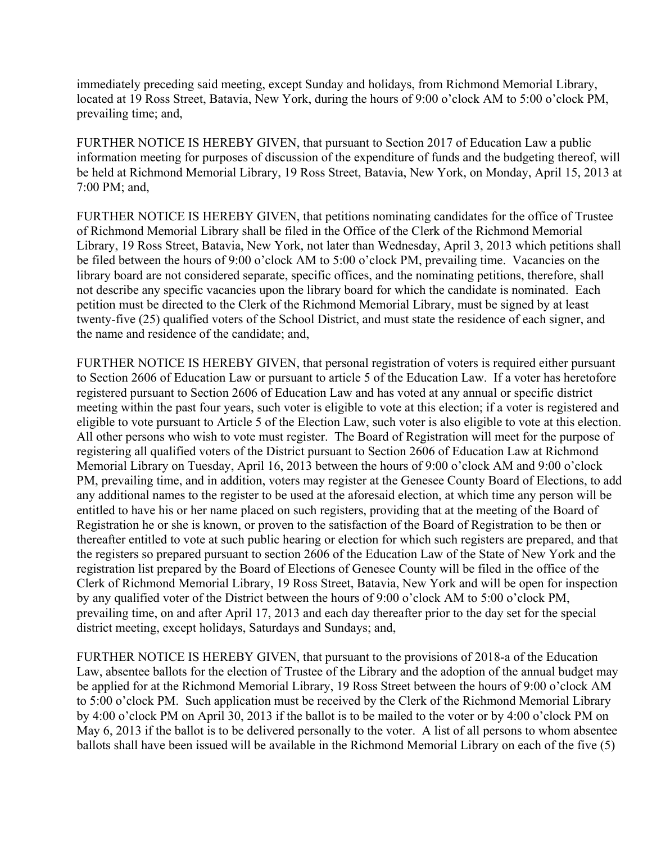immediately preceding said meeting, except Sunday and holidays, from Richmond Memorial Library, located at 19 Ross Street, Batavia, New York, during the hours of 9:00 o'clock AM to 5:00 o'clock PM, prevailing time; and,

FURTHER NOTICE IS HEREBY GIVEN, that pursuant to Section 2017 of Education Law a public information meeting for purposes of discussion of the expenditure of funds and the budgeting thereof, will be held at Richmond Memorial Library, 19 Ross Street, Batavia, New York, on Monday, April 15, 2013 at 7:00 PM; and,

FURTHER NOTICE IS HEREBY GIVEN, that petitions nominating candidates for the office of Trustee of Richmond Memorial Library shall be filed in the Office of the Clerk of the Richmond Memorial Library, 19 Ross Street, Batavia, New York, not later than Wednesday, April 3, 2013 which petitions shall be filed between the hours of 9:00 o'clock AM to 5:00 o'clock PM, prevailing time. Vacancies on the library board are not considered separate, specific offices, and the nominating petitions, therefore, shall not describe any specific vacancies upon the library board for which the candidate is nominated. Each petition must be directed to the Clerk of the Richmond Memorial Library, must be signed by at least twenty-five (25) qualified voters of the School District, and must state the residence of each signer, and the name and residence of the candidate; and,

FURTHER NOTICE IS HEREBY GIVEN, that personal registration of voters is required either pursuant to Section 2606 of Education Law or pursuant to article 5 of the Education Law. If a voter has heretofore registered pursuant to Section 2606 of Education Law and has voted at any annual or specific district meeting within the past four years, such voter is eligible to vote at this election; if a voter is registered and eligible to vote pursuant to Article 5 of the Election Law, such voter is also eligible to vote at this election. All other persons who wish to vote must register. The Board of Registration will meet for the purpose of registering all qualified voters of the District pursuant to Section 2606 of Education Law at Richmond Memorial Library on Tuesday, April 16, 2013 between the hours of 9:00 o'clock AM and 9:00 o'clock PM, prevailing time, and in addition, voters may register at the Genesee County Board of Elections, to add any additional names to the register to be used at the aforesaid election, at which time any person will be entitled to have his or her name placed on such registers, providing that at the meeting of the Board of Registration he or she is known, or proven to the satisfaction of the Board of Registration to be then or thereafter entitled to vote at such public hearing or election for which such registers are prepared, and that the registers so prepared pursuant to section 2606 of the Education Law of the State of New York and the registration list prepared by the Board of Elections of Genesee County will be filed in the office of the Clerk of Richmond Memorial Library, 19 Ross Street, Batavia, New York and will be open for inspection by any qualified voter of the District between the hours of 9:00 o'clock AM to 5:00 o'clock PM, prevailing time, on and after April 17, 2013 and each day thereafter prior to the day set for the special district meeting, except holidays, Saturdays and Sundays; and,

FURTHER NOTICE IS HEREBY GIVEN, that pursuant to the provisions of 2018-a of the Education Law, absentee ballots for the election of Trustee of the Library and the adoption of the annual budget may be applied for at the Richmond Memorial Library, 19 Ross Street between the hours of 9:00 o'clock AM to 5:00 o'clock PM. Such application must be received by the Clerk of the Richmond Memorial Library by 4:00 o'clock PM on April 30, 2013 if the ballot is to be mailed to the voter or by 4:00 o'clock PM on May 6, 2013 if the ballot is to be delivered personally to the voter. A list of all persons to whom absentee ballots shall have been issued will be available in the Richmond Memorial Library on each of the five (5)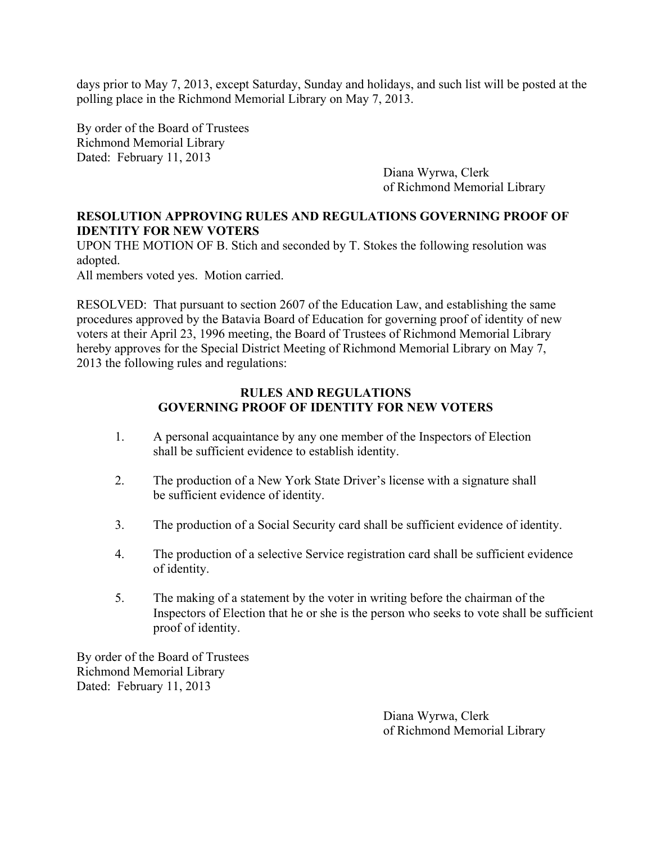days prior to May 7, 2013, except Saturday, Sunday and holidays, and such list will be posted at the polling place in the Richmond Memorial Library on May 7, 2013.

By order of the Board of Trustees Richmond Memorial Library Dated: February 11, 2013

Diana Wyrwa, Clerk of Richmond Memorial Library

### **RESOLUTION APPROVING RULES AND REGULATIONS GOVERNING PROOF OF IDENTITY FOR NEW VOTERS**

UPON THE MOTION OF B. Stich and seconded by T. Stokes the following resolution was adopted.

All members voted yes. Motion carried.

RESOLVED: That pursuant to section 2607 of the Education Law, and establishing the same procedures approved by the Batavia Board of Education for governing proof of identity of new voters at their April 23, 1996 meeting, the Board of Trustees of Richmond Memorial Library hereby approves for the Special District Meeting of Richmond Memorial Library on May 7, 2013 the following rules and regulations:

### **RULES AND REGULATIONS GOVERNING PROOF OF IDENTITY FOR NEW VOTERS**

- 1. A personal acquaintance by any one member of the Inspectors of Election shall be sufficient evidence to establish identity.
- 2. The production of a New York State Driver's license with a signature shall be sufficient evidence of identity.
- 3. The production of a Social Security card shall be sufficient evidence of identity.
- 4. The production of a selective Service registration card shall be sufficient evidence of identity.
- 5. The making of a statement by the voter in writing before the chairman of the Inspectors of Election that he or she is the person who seeks to vote shall be sufficient proof of identity.

By order of the Board of Trustees Richmond Memorial Library Dated: February 11, 2013

> Diana Wyrwa, Clerk of Richmond Memorial Library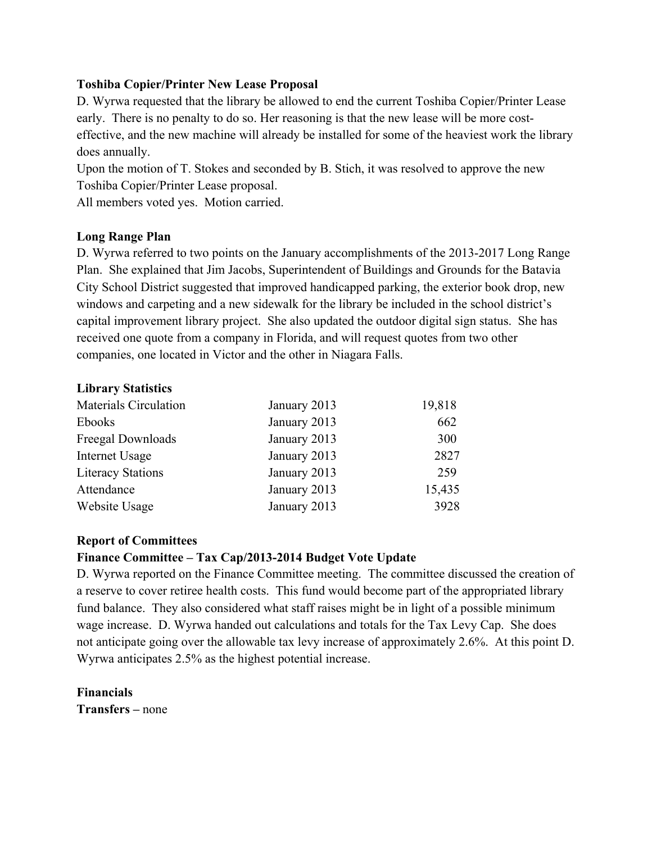### **Toshiba Copier/Printer New Lease Proposal**

D. Wyrwa requested that the library be allowed to end the current Toshiba Copier/Printer Lease early. There is no penalty to do so. Her reasoning is that the new lease will be more costeffective, and the new machine will already be installed for some of the heaviest work the library does annually.

Upon the motion of T. Stokes and seconded by B. Stich, it was resolved to approve the new Toshiba Copier/Printer Lease proposal.

All members voted yes. Motion carried.

### **Long Range Plan**

D. Wyrwa referred to two points on the January accomplishments of the 2013-2017 Long Range Plan. She explained that Jim Jacobs, Superintendent of Buildings and Grounds for the Batavia City School District suggested that improved handicapped parking, the exterior book drop, new windows and carpeting and a new sidewalk for the library be included in the school district's capital improvement library project. She also updated the outdoor digital sign status. She has received one quote from a company in Florida, and will request quotes from two other companies, one located in Victor and the other in Niagara Falls.

#### **Library Statistics**

| Materials Circulation    | January 2013 | 19,818 |
|--------------------------|--------------|--------|
| Ebooks                   | January 2013 | 662    |
| Freegal Downloads        | January 2013 | 300    |
| Internet Usage           | January 2013 | 2827   |
| <b>Literacy Stations</b> | January 2013 | 259    |
| Attendance               | January 2013 | 15,435 |
| Website Usage            | January 2013 | 3928   |

#### **Report of Committees**

# **Finance Committee – Tax Cap/2013-2014 Budget Vote Update**

D. Wyrwa reported on the Finance Committee meeting. The committee discussed the creation of a reserve to cover retiree health costs. This fund would become part of the appropriated library fund balance. They also considered what staff raises might be in light of a possible minimum wage increase. D. Wyrwa handed out calculations and totals for the Tax Levy Cap. She does not anticipate going over the allowable tax levy increase of approximately 2.6%. At this point D. Wyrwa anticipates 2.5% as the highest potential increase.

**Financials Transfers –** none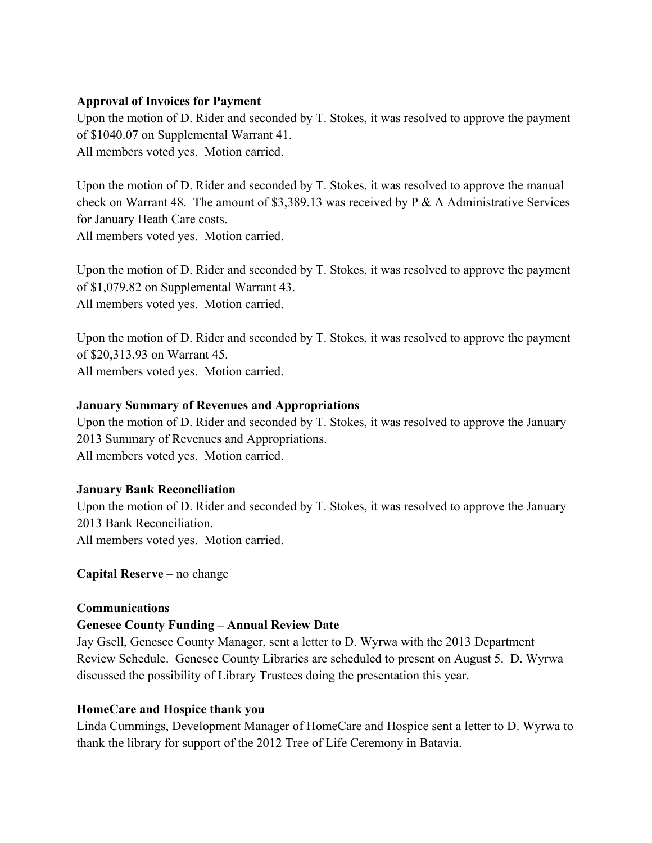### **Approval of Invoices for Payment**

Upon the motion of D. Rider and seconded by T. Stokes, it was resolved to approve the payment of \$1040.07 on Supplemental Warrant 41. All members voted yes. Motion carried.

Upon the motion of D. Rider and seconded by T. Stokes, it was resolved to approve the manual check on Warrant 48. The amount of \$3,389.13 was received by P & A Administrative Services for January Heath Care costs. All members voted yes. Motion carried.

Upon the motion of D. Rider and seconded by T. Stokes, it was resolved to approve the payment of \$1,079.82 on Supplemental Warrant 43. All members voted yes. Motion carried.

Upon the motion of D. Rider and seconded by T. Stokes, it was resolved to approve the payment of \$20,313.93 on Warrant 45. All members voted yes. Motion carried.

### **January Summary of Revenues and Appropriations**

Upon the motion of D. Rider and seconded by T. Stokes, it was resolved to approve the January 2013 Summary of Revenues and Appropriations. All members voted yes. Motion carried.

# **January Bank Reconciliation**

Upon the motion of D. Rider and seconded by T. Stokes, it was resolved to approve the January 2013 Bank Reconciliation. All members voted yes. Motion carried.

**Capital Reserve** – no change

#### **Communications**

# **Genesee County Funding – Annual Review Date**

Jay Gsell, Genesee County Manager, sent a letter to D. Wyrwa with the 2013 Department Review Schedule. Genesee County Libraries are scheduled to present on August 5. D. Wyrwa discussed the possibility of Library Trustees doing the presentation this year.

# **HomeCare and Hospice thank you**

Linda Cummings, Development Manager of HomeCare and Hospice sent a letter to D. Wyrwa to thank the library for support of the 2012 Tree of Life Ceremony in Batavia.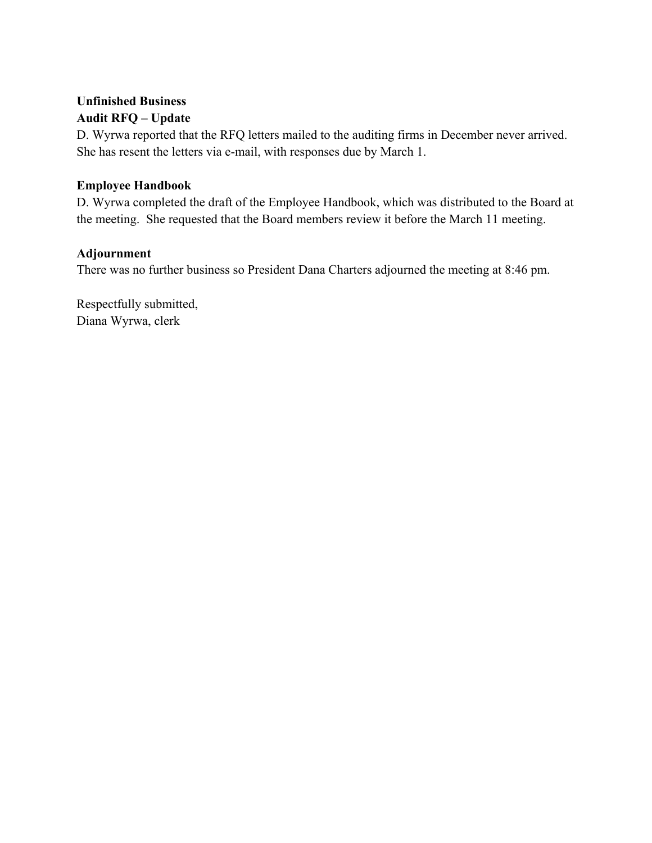# **Unfinished Business Audit RFQ – Update**

D. Wyrwa reported that the RFQ letters mailed to the auditing firms in December never arrived. She has resent the letters via e-mail, with responses due by March 1.

# **Employee Handbook**

D. Wyrwa completed the draft of the Employee Handbook, which was distributed to the Board at the meeting. She requested that the Board members review it before the March 11 meeting.

# **Adjournment**

There was no further business so President Dana Charters adjourned the meeting at 8:46 pm.

Respectfully submitted, Diana Wyrwa, clerk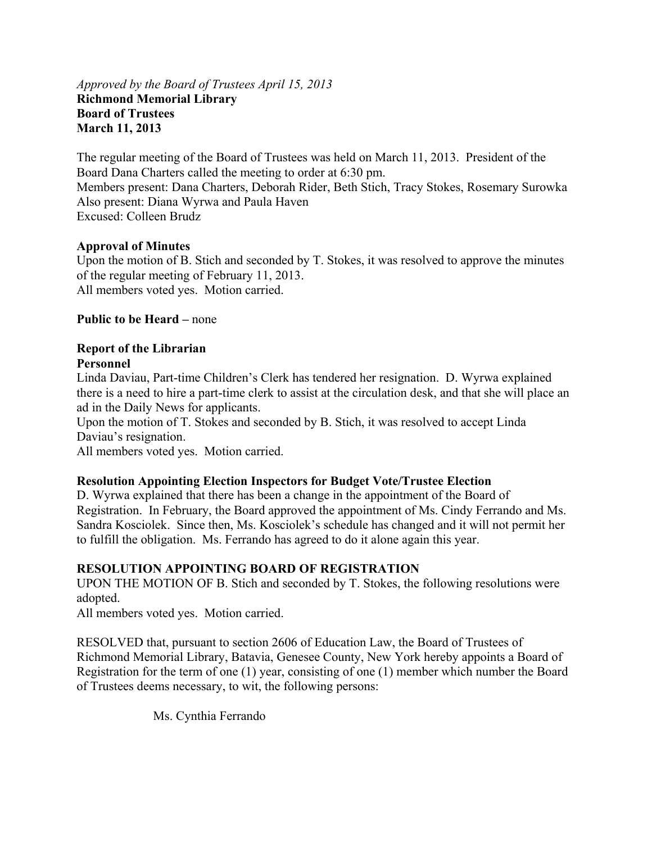#### *Approved by the Board of Trustees April 15, 2013*  **Richmond Memorial Library Board of Trustees March 11, 2013**

The regular meeting of the Board of Trustees was held on March 11, 2013. President of the Board Dana Charters called the meeting to order at 6:30 pm. Members present: Dana Charters, Deborah Rider, Beth Stich, Tracy Stokes, Rosemary Surowka Also present: Diana Wyrwa and Paula Haven Excused: Colleen Brudz

### **Approval of Minutes**

Upon the motion of B. Stich and seconded by T. Stokes, it was resolved to approve the minutes of the regular meeting of February 11, 2013. All members voted yes. Motion carried.

### **Public to be Heard –** none

#### **Report of the Librarian Personnel**

Linda Daviau, Part-time Children's Clerk has tendered her resignation. D. Wyrwa explained there is a need to hire a part-time clerk to assist at the circulation desk, and that she will place an ad in the Daily News for applicants.

Upon the motion of T. Stokes and seconded by B. Stich, it was resolved to accept Linda Daviau's resignation.

All members voted yes. Motion carried.

# **Resolution Appointing Election Inspectors for Budget Vote/Trustee Election**

D. Wyrwa explained that there has been a change in the appointment of the Board of Registration. In February, the Board approved the appointment of Ms. Cindy Ferrando and Ms. Sandra Kosciolek. Since then, Ms. Kosciolek's schedule has changed and it will not permit her to fulfill the obligation. Ms. Ferrando has agreed to do it alone again this year.

# **RESOLUTION APPOINTING BOARD OF REGISTRATION**

UPON THE MOTION OF B. Stich and seconded by T. Stokes, the following resolutions were adopted.

All members voted yes. Motion carried.

RESOLVED that, pursuant to section 2606 of Education Law, the Board of Trustees of Richmond Memorial Library, Batavia, Genesee County, New York hereby appoints a Board of Registration for the term of one (1) year, consisting of one (1) member which number the Board of Trustees deems necessary, to wit, the following persons:

Ms. Cynthia Ferrando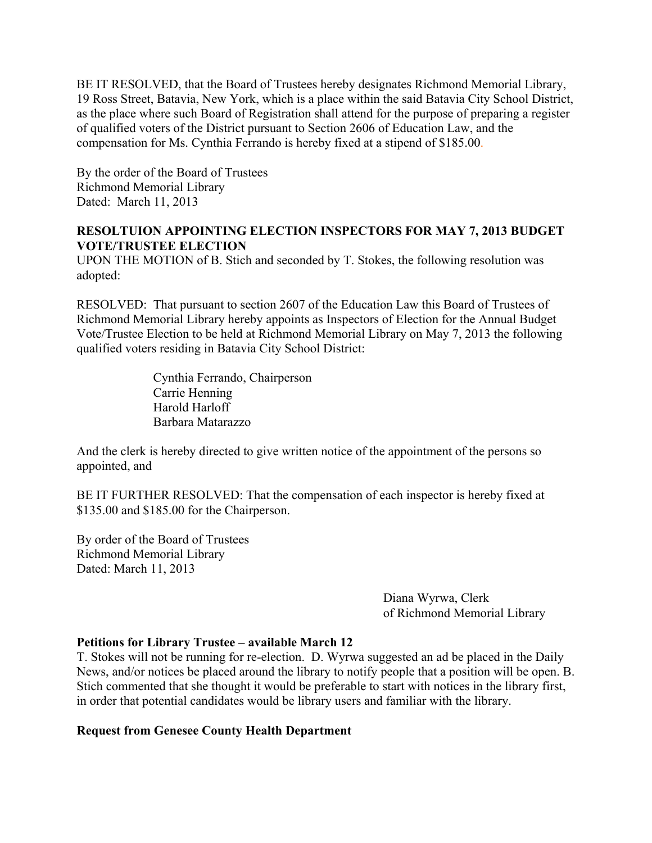BE IT RESOLVED, that the Board of Trustees hereby designates Richmond Memorial Library, 19 Ross Street, Batavia, New York, which is a place within the said Batavia City School District, as the place where such Board of Registration shall attend for the purpose of preparing a register of qualified voters of the District pursuant to Section 2606 of Education Law, and the compensation for Ms. Cynthia Ferrando is hereby fixed at a stipend of \$185.00.

By the order of the Board of Trustees Richmond Memorial Library Dated: March 11, 2013

# **RESOLTUION APPOINTING ELECTION INSPECTORS FOR MAY 7, 2013 BUDGET VOTE/TRUSTEE ELECTION**

UPON THE MOTION of B. Stich and seconded by T. Stokes, the following resolution was adopted:

RESOLVED: That pursuant to section 2607 of the Education Law this Board of Trustees of Richmond Memorial Library hereby appoints as Inspectors of Election for the Annual Budget Vote/Trustee Election to be held at Richmond Memorial Library on May 7, 2013 the following qualified voters residing in Batavia City School District:

> Cynthia Ferrando, Chairperson Carrie Henning Harold Harloff Barbara Matarazzo

And the clerk is hereby directed to give written notice of the appointment of the persons so appointed, and

BE IT FURTHER RESOLVED: That the compensation of each inspector is hereby fixed at \$135.00 and \$185.00 for the Chairperson.

By order of the Board of Trustees Richmond Memorial Library Dated: March 11, 2013

> Diana Wyrwa, Clerk of Richmond Memorial Library

#### **Petitions for Library Trustee – available March 12**

T. Stokes will not be running for re-election. D. Wyrwa suggested an ad be placed in the Daily News, and/or notices be placed around the library to notify people that a position will be open. B. Stich commented that she thought it would be preferable to start with notices in the library first, in order that potential candidates would be library users and familiar with the library.

#### **Request from Genesee County Health Department**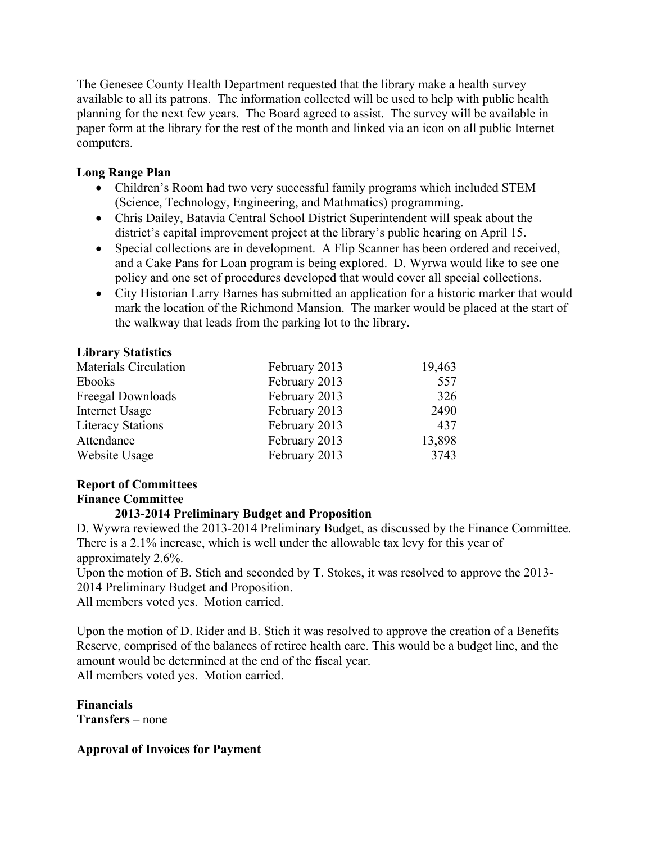The Genesee County Health Department requested that the library make a health survey available to all its patrons. The information collected will be used to help with public health planning for the next few years. The Board agreed to assist. The survey will be available in paper form at the library for the rest of the month and linked via an icon on all public Internet computers.

# **Long Range Plan**

- Children's Room had two very successful family programs which included STEM (Science, Technology, Engineering, and Mathmatics) programming.
- Chris Dailey, Batavia Central School District Superintendent will speak about the district's capital improvement project at the library's public hearing on April 15.
- Special collections are in development. A Flip Scanner has been ordered and received, and a Cake Pans for Loan program is being explored. D. Wyrwa would like to see one policy and one set of procedures developed that would cover all special collections.
- City Historian Larry Barnes has submitted an application for a historic marker that would mark the location of the Richmond Mansion. The marker would be placed at the start of the walkway that leads from the parking lot to the library.

### **Library Statistics**

| <b>Materials Circulation</b> | February 2013 | 19,463 |
|------------------------------|---------------|--------|
| Ebooks                       | February 2013 | 557    |
| Freegal Downloads            | February 2013 | 326    |
| Internet Usage               | February 2013 | 2490   |
| <b>Literacy Stations</b>     | February 2013 | 437    |
| Attendance                   | February 2013 | 13,898 |
| Website Usage                | February 2013 | 3743   |

# **Report of Committees**

# **Finance Committee**

# **2013-2014 Preliminary Budget and Proposition**

D. Wywra reviewed the 2013-2014 Preliminary Budget, as discussed by the Finance Committee. There is a 2.1% increase, which is well under the allowable tax levy for this year of approximately 2.6%.

Upon the motion of B. Stich and seconded by T. Stokes, it was resolved to approve the 2013- 2014 Preliminary Budget and Proposition.

All members voted yes. Motion carried.

Upon the motion of D. Rider and B. Stich it was resolved to approve the creation of a Benefits Reserve, comprised of the balances of retiree health care. This would be a budget line, and the amount would be determined at the end of the fiscal year. All members voted yes. Motion carried.

**Financials Transfers –** none

# **Approval of Invoices for Payment**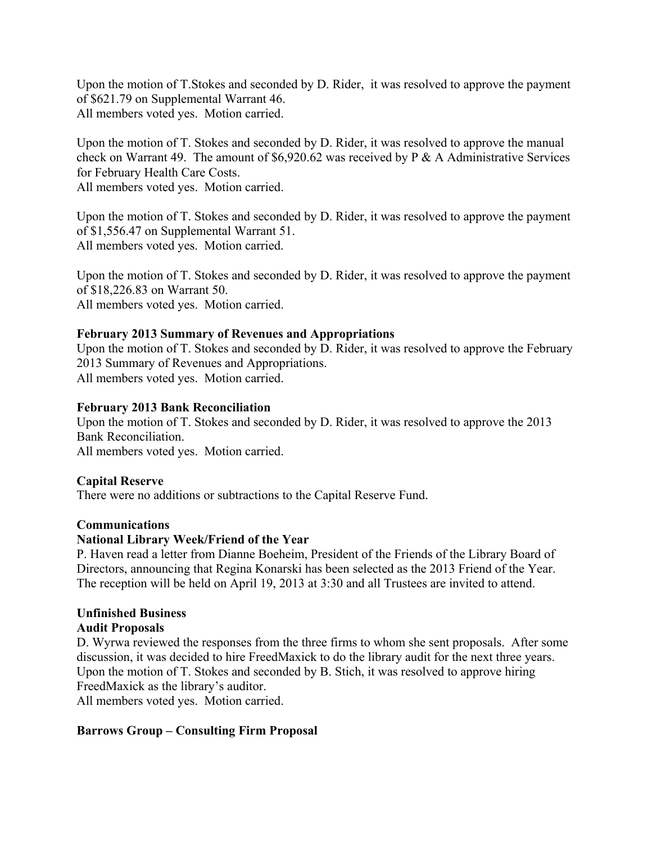Upon the motion of T.Stokes and seconded by D. Rider, it was resolved to approve the payment of \$621.79 on Supplemental Warrant 46. All members voted yes. Motion carried.

Upon the motion of T. Stokes and seconded by D. Rider, it was resolved to approve the manual check on Warrant 49. The amount of \$6,920.62 was received by P & A Administrative Services for February Health Care Costs.

All members voted yes. Motion carried.

Upon the motion of T. Stokes and seconded by D. Rider, it was resolved to approve the payment of \$1,556.47 on Supplemental Warrant 51. All members voted yes. Motion carried.

Upon the motion of T. Stokes and seconded by D. Rider, it was resolved to approve the payment of \$18,226.83 on Warrant 50. All members voted yes. Motion carried.

### **February 2013 Summary of Revenues and Appropriations**

Upon the motion of T. Stokes and seconded by D. Rider, it was resolved to approve the February 2013 Summary of Revenues and Appropriations. All members voted yes. Motion carried.

### **February 2013 Bank Reconciliation**

Upon the motion of T. Stokes and seconded by D. Rider, it was resolved to approve the 2013 Bank Reconciliation. All members voted yes. Motion carried.

### **Capital Reserve**

There were no additions or subtractions to the Capital Reserve Fund.

# **Communications**

#### **National Library Week/Friend of the Year**

P. Haven read a letter from Dianne Boeheim, President of the Friends of the Library Board of Directors, announcing that Regina Konarski has been selected as the 2013 Friend of the Year. The reception will be held on April 19, 2013 at 3:30 and all Trustees are invited to attend.

#### **Unfinished Business**

# **Audit Proposals**

D. Wyrwa reviewed the responses from the three firms to whom she sent proposals. After some discussion, it was decided to hire FreedMaxick to do the library audit for the next three years. Upon the motion of T. Stokes and seconded by B. Stich, it was resolved to approve hiring FreedMaxick as the library's auditor.

All members voted yes. Motion carried.

# **Barrows Group – Consulting Firm Proposal**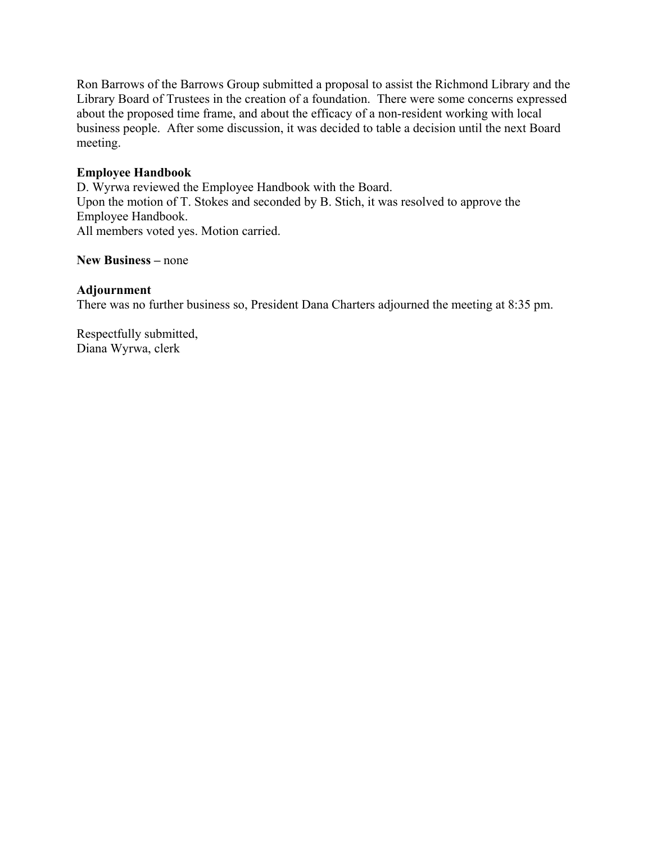Ron Barrows of the Barrows Group submitted a proposal to assist the Richmond Library and the Library Board of Trustees in the creation of a foundation. There were some concerns expressed about the proposed time frame, and about the efficacy of a non-resident working with local business people. After some discussion, it was decided to table a decision until the next Board meeting.

### **Employee Handbook**

D. Wyrwa reviewed the Employee Handbook with the Board. Upon the motion of T. Stokes and seconded by B. Stich, it was resolved to approve the Employee Handbook. All members voted yes. Motion carried.

#### **New Business –** none

### **Adjournment**

There was no further business so, President Dana Charters adjourned the meeting at 8:35 pm.

Respectfully submitted, Diana Wyrwa, clerk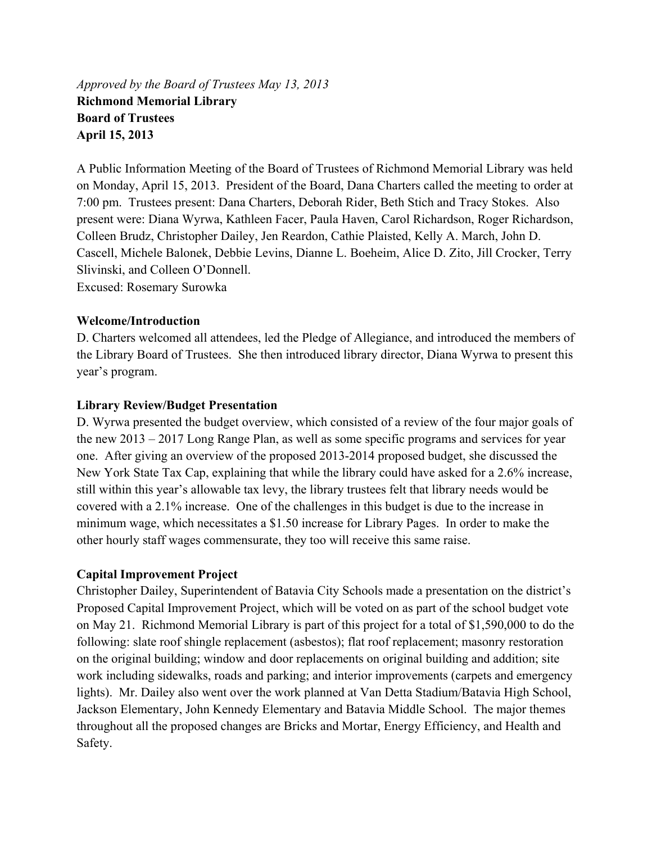*Approved by the Board of Trustees May 13, 2013*  **Richmond Memorial Library Board of Trustees April 15, 2013** 

A Public Information Meeting of the Board of Trustees of Richmond Memorial Library was held on Monday, April 15, 2013. President of the Board, Dana Charters called the meeting to order at 7:00 pm. Trustees present: Dana Charters, Deborah Rider, Beth Stich and Tracy Stokes. Also present were: Diana Wyrwa, Kathleen Facer, Paula Haven, Carol Richardson, Roger Richardson, Colleen Brudz, Christopher Dailey, Jen Reardon, Cathie Plaisted, Kelly A. March, John D. Cascell, Michele Balonek, Debbie Levins, Dianne L. Boeheim, Alice D. Zito, Jill Crocker, Terry Slivinski, and Colleen O'Donnell.

Excused: Rosemary Surowka

### **Welcome/Introduction**

D. Charters welcomed all attendees, led the Pledge of Allegiance, and introduced the members of the Library Board of Trustees. She then introduced library director, Diana Wyrwa to present this year's program.

### **Library Review/Budget Presentation**

D. Wyrwa presented the budget overview, which consisted of a review of the four major goals of the new 2013 – 2017 Long Range Plan, as well as some specific programs and services for year one. After giving an overview of the proposed 2013-2014 proposed budget, she discussed the New York State Tax Cap, explaining that while the library could have asked for a 2.6% increase, still within this year's allowable tax levy, the library trustees felt that library needs would be covered with a 2.1% increase. One of the challenges in this budget is due to the increase in minimum wage, which necessitates a \$1.50 increase for Library Pages. In order to make the other hourly staff wages commensurate, they too will receive this same raise.

# **Capital Improvement Project**

Christopher Dailey, Superintendent of Batavia City Schools made a presentation on the district's Proposed Capital Improvement Project, which will be voted on as part of the school budget vote on May 21. Richmond Memorial Library is part of this project for a total of \$1,590,000 to do the following: slate roof shingle replacement (asbestos); flat roof replacement; masonry restoration on the original building; window and door replacements on original building and addition; site work including sidewalks, roads and parking; and interior improvements (carpets and emergency lights). Mr. Dailey also went over the work planned at Van Detta Stadium/Batavia High School, Jackson Elementary, John Kennedy Elementary and Batavia Middle School. The major themes throughout all the proposed changes are Bricks and Mortar, Energy Efficiency, and Health and Safety.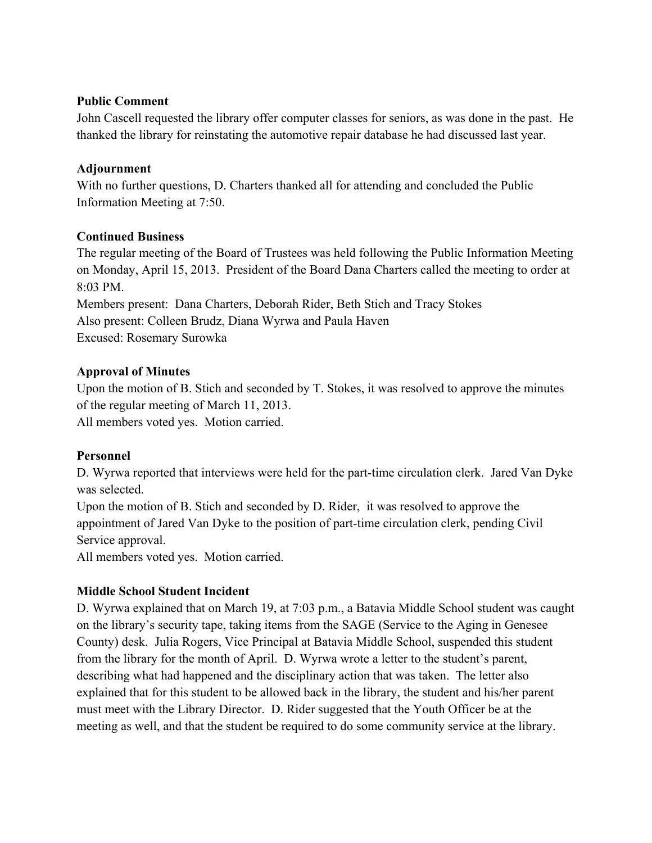### **Public Comment**

John Cascell requested the library offer computer classes for seniors, as was done in the past. He thanked the library for reinstating the automotive repair database he had discussed last year.

# **Adjournment**

With no further questions, D. Charters thanked all for attending and concluded the Public Information Meeting at 7:50.

# **Continued Business**

The regular meeting of the Board of Trustees was held following the Public Information Meeting on Monday, April 15, 2013. President of the Board Dana Charters called the meeting to order at 8:03 PM. Members present: Dana Charters, Deborah Rider, Beth Stich and Tracy Stokes Also present: Colleen Brudz, Diana Wyrwa and Paula Haven

Excused: Rosemary Surowka

# **Approval of Minutes**

Upon the motion of B. Stich and seconded by T. Stokes, it was resolved to approve the minutes of the regular meeting of March 11, 2013. All members voted yes. Motion carried.

# **Personnel**

D. Wyrwa reported that interviews were held for the part-time circulation clerk. Jared Van Dyke was selected.

Upon the motion of B. Stich and seconded by D. Rider, it was resolved to approve the appointment of Jared Van Dyke to the position of part-time circulation clerk, pending Civil Service approval.

All members voted yes. Motion carried.

# **Middle School Student Incident**

D. Wyrwa explained that on March 19, at 7:03 p.m., a Batavia Middle School student was caught on the library's security tape, taking items from the SAGE (Service to the Aging in Genesee County) desk. Julia Rogers, Vice Principal at Batavia Middle School, suspended this student from the library for the month of April. D. Wyrwa wrote a letter to the student's parent, describing what had happened and the disciplinary action that was taken. The letter also explained that for this student to be allowed back in the library, the student and his/her parent must meet with the Library Director. D. Rider suggested that the Youth Officer be at the meeting as well, and that the student be required to do some community service at the library.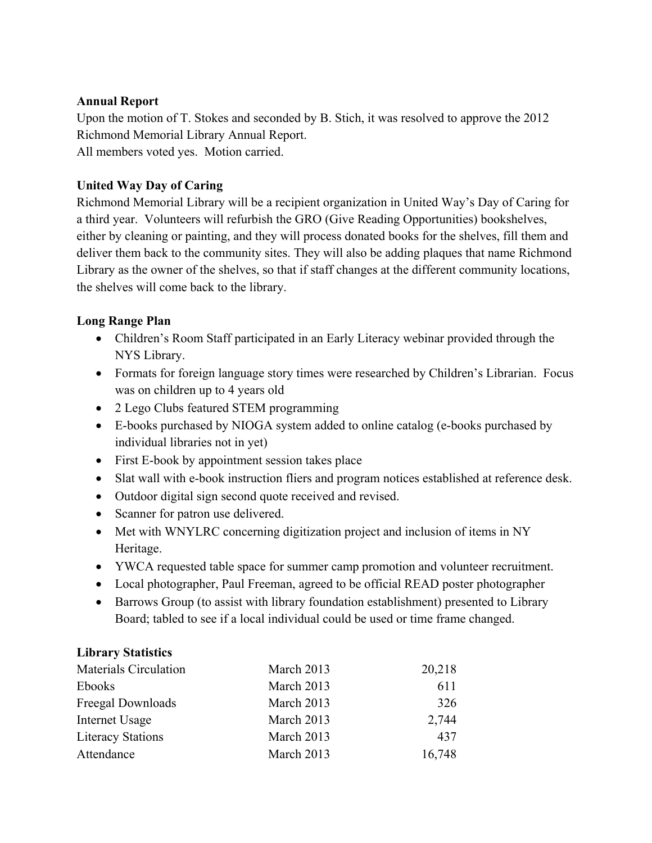### **Annual Report**

Upon the motion of T. Stokes and seconded by B. Stich, it was resolved to approve the 2012 Richmond Memorial Library Annual Report. All members voted yes. Motion carried.

# **United Way Day of Caring**

Richmond Memorial Library will be a recipient organization in United Way's Day of Caring for a third year. Volunteers will refurbish the GRO (Give Reading Opportunities) bookshelves, either by cleaning or painting, and they will process donated books for the shelves, fill them and deliver them back to the community sites. They will also be adding plaques that name Richmond Library as the owner of the shelves, so that if staff changes at the different community locations, the shelves will come back to the library.

### **Long Range Plan**

- Children's Room Staff participated in an Early Literacy webinar provided through the NYS Library.
- Formats for foreign language story times were researched by Children's Librarian. Focus was on children up to 4 years old
- 2 Lego Clubs featured STEM programming
- E-books purchased by NIOGA system added to online catalog (e-books purchased by individual libraries not in yet)
- First E-book by appointment session takes place
- Slat wall with e-book instruction fliers and program notices established at reference desk.
- Outdoor digital sign second quote received and revised.
- Scanner for patron use delivered.
- Met with WNYLRC concerning digitization project and inclusion of items in NY Heritage.
- YWCA requested table space for summer camp promotion and volunteer recruitment.
- Local photographer, Paul Freeman, agreed to be official READ poster photographer
- Barrows Group (to assist with library foundation establishment) presented to Library Board; tabled to see if a local individual could be used or time frame changed.

#### **Library Statistics**

| <b>Materials Circulation</b> | March 2013 | 20,218 |
|------------------------------|------------|--------|
| Ebooks                       | March 2013 | 611    |
| Freegal Downloads            | March 2013 | 326    |
| Internet Usage               | March 2013 | 2,744  |
| <b>Literacy Stations</b>     | March 2013 | 437    |
| Attendance                   | March 2013 | 16,748 |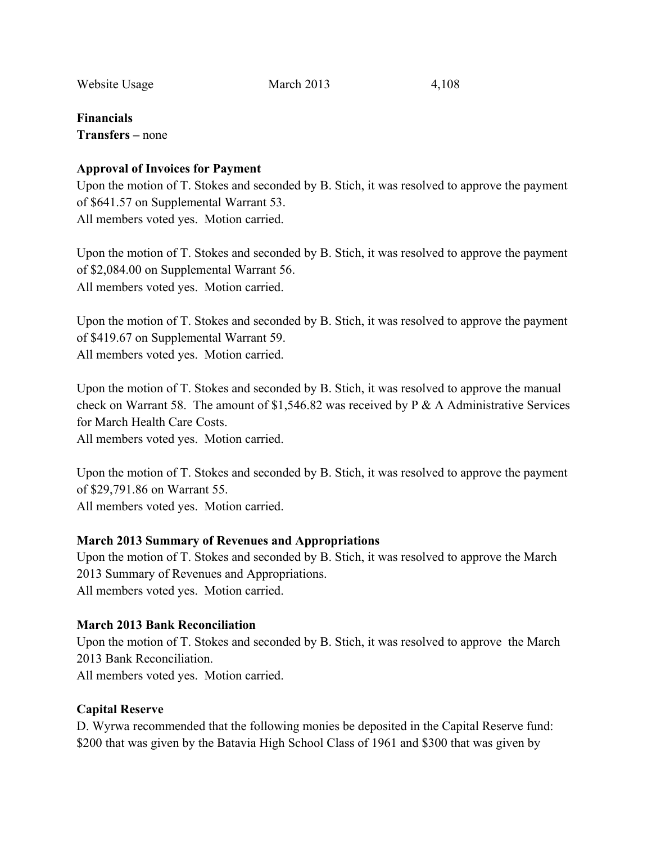Website Usage March 2013 4,108

**Financials Transfers –** none

### **Approval of Invoices for Payment**

Upon the motion of T. Stokes and seconded by B. Stich, it was resolved to approve the payment of \$641.57 on Supplemental Warrant 53. All members voted yes. Motion carried.

Upon the motion of T. Stokes and seconded by B. Stich, it was resolved to approve the payment of \$2,084.00 on Supplemental Warrant 56. All members voted yes. Motion carried.

Upon the motion of T. Stokes and seconded by B. Stich, it was resolved to approve the payment of \$419.67 on Supplemental Warrant 59. All members voted yes. Motion carried.

Upon the motion of T. Stokes and seconded by B. Stich, it was resolved to approve the manual check on Warrant 58. The amount of \$1,546.82 was received by P & A Administrative Services for March Health Care Costs.

All members voted yes. Motion carried.

Upon the motion of T. Stokes and seconded by B. Stich, it was resolved to approve the payment of \$29,791.86 on Warrant 55. All members voted yes. Motion carried.

# **March 2013 Summary of Revenues and Appropriations**

Upon the motion of T. Stokes and seconded by B. Stich, it was resolved to approve the March 2013 Summary of Revenues and Appropriations. All members voted yes. Motion carried.

# **March 2013 Bank Reconciliation**

Upon the motion of T. Stokes and seconded by B. Stich, it was resolved to approve the March 2013 Bank Reconciliation. All members voted yes. Motion carried.

# **Capital Reserve**

D. Wyrwa recommended that the following monies be deposited in the Capital Reserve fund: \$200 that was given by the Batavia High School Class of 1961 and \$300 that was given by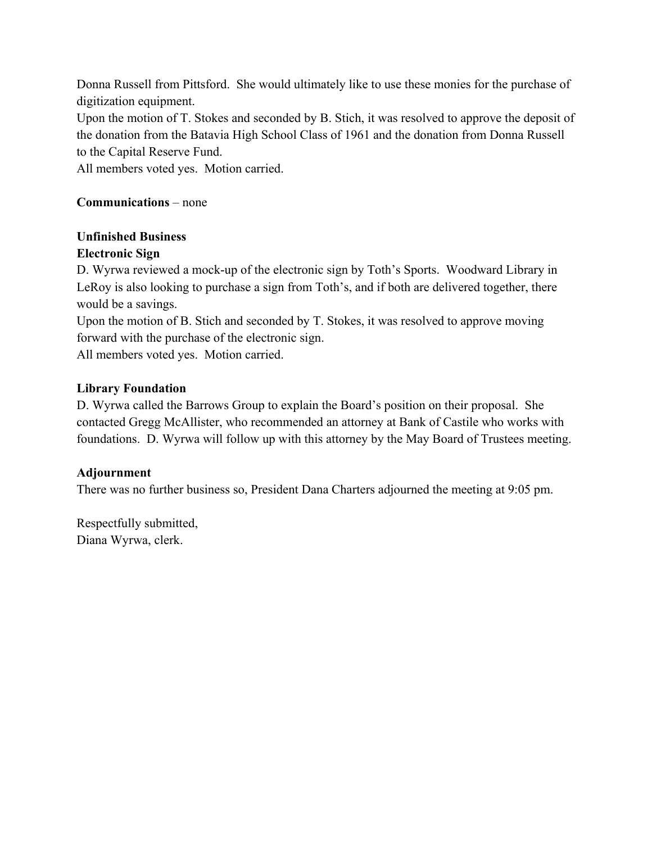Donna Russell from Pittsford. She would ultimately like to use these monies for the purchase of digitization equipment.

Upon the motion of T. Stokes and seconded by B. Stich, it was resolved to approve the deposit of the donation from the Batavia High School Class of 1961 and the donation from Donna Russell to the Capital Reserve Fund.

All members voted yes. Motion carried.

# **Communications** – none

# **Unfinished Business**

# **Electronic Sign**

D. Wyrwa reviewed a mock-up of the electronic sign by Toth's Sports. Woodward Library in LeRoy is also looking to purchase a sign from Toth's, and if both are delivered together, there would be a savings.

Upon the motion of B. Stich and seconded by T. Stokes, it was resolved to approve moving forward with the purchase of the electronic sign.

All members voted yes. Motion carried.

# **Library Foundation**

D. Wyrwa called the Barrows Group to explain the Board's position on their proposal. She contacted Gregg McAllister, who recommended an attorney at Bank of Castile who works with foundations. D. Wyrwa will follow up with this attorney by the May Board of Trustees meeting.

# **Adjournment**

There was no further business so, President Dana Charters adjourned the meeting at 9:05 pm.

Respectfully submitted, Diana Wyrwa, clerk.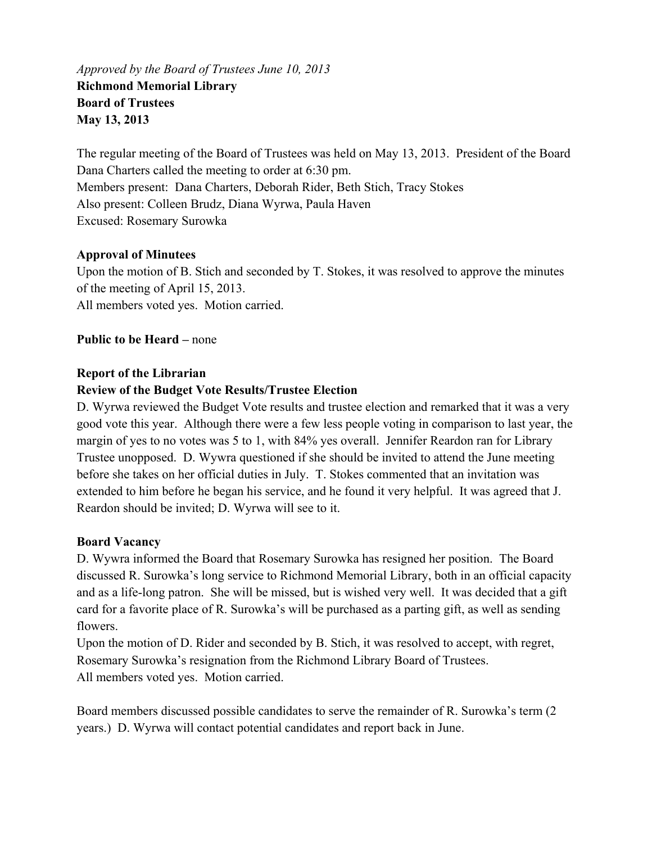*Approved by the Board of Trustees June 10, 2013*  **Richmond Memorial Library Board of Trustees May 13, 2013** 

The regular meeting of the Board of Trustees was held on May 13, 2013. President of the Board Dana Charters called the meeting to order at 6:30 pm. Members present: Dana Charters, Deborah Rider, Beth Stich, Tracy Stokes Also present: Colleen Brudz, Diana Wyrwa, Paula Haven Excused: Rosemary Surowka

# **Approval of Minutees**

Upon the motion of B. Stich and seconded by T. Stokes, it was resolved to approve the minutes of the meeting of April 15, 2013. All members voted yes. Motion carried.

**Public to be Heard –** none

# **Report of the Librarian**

# **Review of the Budget Vote Results/Trustee Election**

D. Wyrwa reviewed the Budget Vote results and trustee election and remarked that it was a very good vote this year. Although there were a few less people voting in comparison to last year, the margin of yes to no votes was 5 to 1, with 84% yes overall. Jennifer Reardon ran for Library Trustee unopposed. D. Wywra questioned if she should be invited to attend the June meeting before she takes on her official duties in July. T. Stokes commented that an invitation was extended to him before he began his service, and he found it very helpful. It was agreed that J. Reardon should be invited; D. Wyrwa will see to it.

# **Board Vacancy**

D. Wywra informed the Board that Rosemary Surowka has resigned her position. The Board discussed R. Surowka's long service to Richmond Memorial Library, both in an official capacity and as a life-long patron. She will be missed, but is wished very well. It was decided that a gift card for a favorite place of R. Surowka's will be purchased as a parting gift, as well as sending flowers.

Upon the motion of D. Rider and seconded by B. Stich, it was resolved to accept, with regret, Rosemary Surowka's resignation from the Richmond Library Board of Trustees. All members voted yes. Motion carried.

Board members discussed possible candidates to serve the remainder of R. Surowka's term (2 years.) D. Wyrwa will contact potential candidates and report back in June.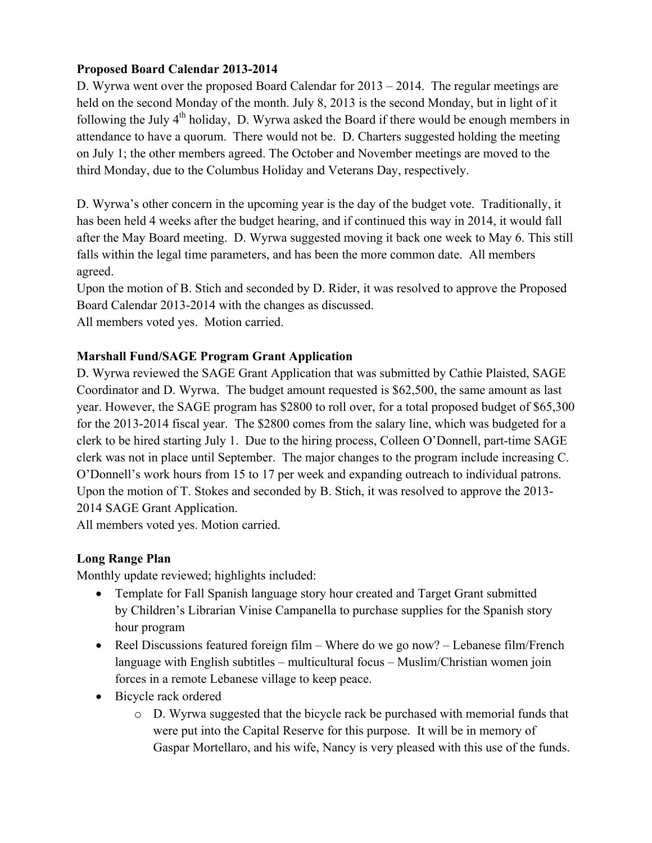# **Proposed Board Calendar 2013-2014**

D. Wyrwa went over the proposed Board Calendar for 2013 – 2014. The regular meetings are held on the second Monday of the month. July 8, 2013 is the second Monday, but in light of it following the July  $4<sup>th</sup>$  holiday, D. Wyrwa asked the Board if there would be enough members in attendance to have a quorum. There would not be. D. Charters suggested holding the meeting on July 1; the other members agreed. The October and November meetings are moved to the third Monday, due to the Columbus Holiday and Veterans Day, respectively.

D. Wyrwa's other concern in the upcoming year is the day of the budget vote. Traditionally, it has been held 4 weeks after the budget hearing, and if continued this way in 2014, it would fall after the May Board meeting. D. Wyrwa suggested moving it back one week to May 6. This still falls within the legal time parameters, and has been the more common date. All members agreed.

Upon the motion of B. Stich and seconded by D. Rider, it was resolved to approve the Proposed Board Calendar 2013-2014 with the changes as discussed.

All members voted yes. Motion carried.

# **Marshall Fund/SAGE Program Grant Application**

D. Wyrwa reviewed the SAGE Grant Application that was submitted by Cathie Plaisted, SAGE Coordinator and D. Wyrwa. The budget amount requested is \$62,500, the same amount as last year. However, the SAGE program has \$2800 to roll over, for a total proposed budget of \$65,300 for the 2013-2014 fiscal year. The \$2800 comes from the salary line, which was budgeted for a clerk to be hired starting July 1. Due to the hiring process, Colleen O'Donnell, part-time SAGE clerk was not in place until September. The major changes to the program include increasing C. O'Donnell's work hours from 15 to 17 per week and expanding outreach to individual patrons. Upon the motion of T. Stokes and seconded by B. Stich, it was resolved to approve the 2013- 2014 SAGE Grant Application.

All members voted yes. Motion carried.

# **Long Range Plan**

Monthly update reviewed; highlights included:

- Template for Fall Spanish language story hour created and Target Grant submitted by Children's Librarian Vinise Campanella to purchase supplies for the Spanish story hour program
- Reel Discussions featured foreign film Where do we go now? Lebanese film/French language with English subtitles – multicultural focus – Muslim/Christian women join forces in a remote Lebanese village to keep peace.
- Bicycle rack ordered
	- o D. Wyrwa suggested that the bicycle rack be purchased with memorial funds that were put into the Capital Reserve for this purpose. It will be in memory of Gaspar Mortellaro, and his wife, Nancy is very pleased with this use of the funds.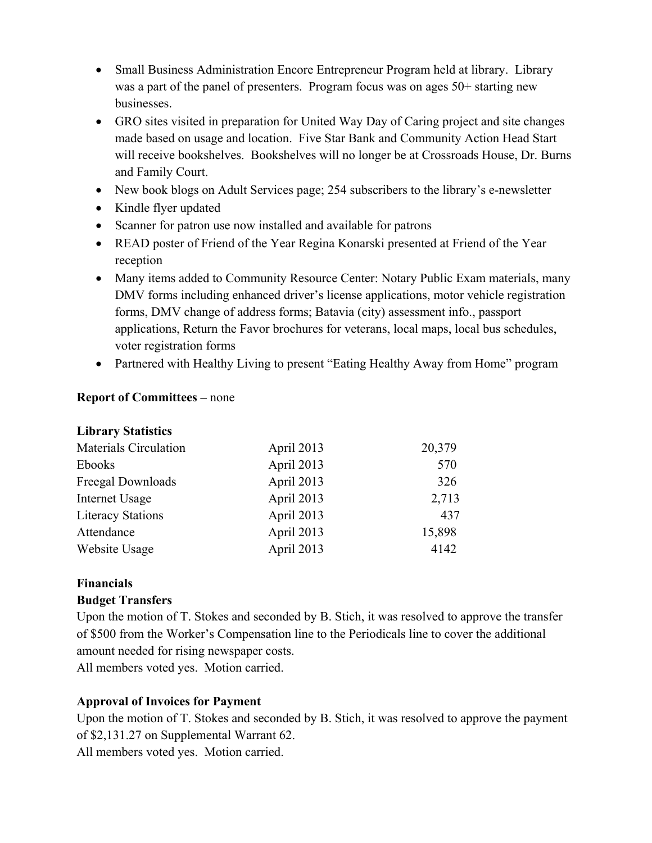- Small Business Administration Encore Entrepreneur Program held at library. Library was a part of the panel of presenters. Program focus was on ages 50+ starting new businesses.
- GRO sites visited in preparation for United Way Day of Caring project and site changes made based on usage and location. Five Star Bank and Community Action Head Start will receive bookshelves. Bookshelves will no longer be at Crossroads House, Dr. Burns and Family Court.
- New book blogs on Adult Services page; 254 subscribers to the library's e-newsletter
- Kindle flyer updated
- Scanner for patron use now installed and available for patrons
- READ poster of Friend of the Year Regina Konarski presented at Friend of the Year reception
- Many items added to Community Resource Center: Notary Public Exam materials, many DMV forms including enhanced driver's license applications, motor vehicle registration forms, DMV change of address forms; Batavia (city) assessment info., passport applications, Return the Favor brochures for veterans, local maps, local bus schedules, voter registration forms
- Partnered with Healthy Living to present "Eating Healthy Away from Home" program

# **Report of Committees –** none

| <b>Library Statistics</b>    |            |        |
|------------------------------|------------|--------|
| <b>Materials Circulation</b> | April 2013 | 20,379 |
| <b>Ebooks</b>                | April 2013 | 570    |
| Freegal Downloads            | April 2013 | 326    |
| Internet Usage               | April 2013 | 2,713  |
| <b>Literacy Stations</b>     | April 2013 | 437    |
| Attendance                   | April 2013 | 15,898 |
| Website Usage                | April 2013 | 4142   |

# **Financials**

# **Budget Transfers**

Upon the motion of T. Stokes and seconded by B. Stich, it was resolved to approve the transfer of \$500 from the Worker's Compensation line to the Periodicals line to cover the additional amount needed for rising newspaper costs. All members voted yes. Motion carried.

# **Approval of Invoices for Payment**

Upon the motion of T. Stokes and seconded by B. Stich, it was resolved to approve the payment of \$2,131.27 on Supplemental Warrant 62.

All members voted yes. Motion carried.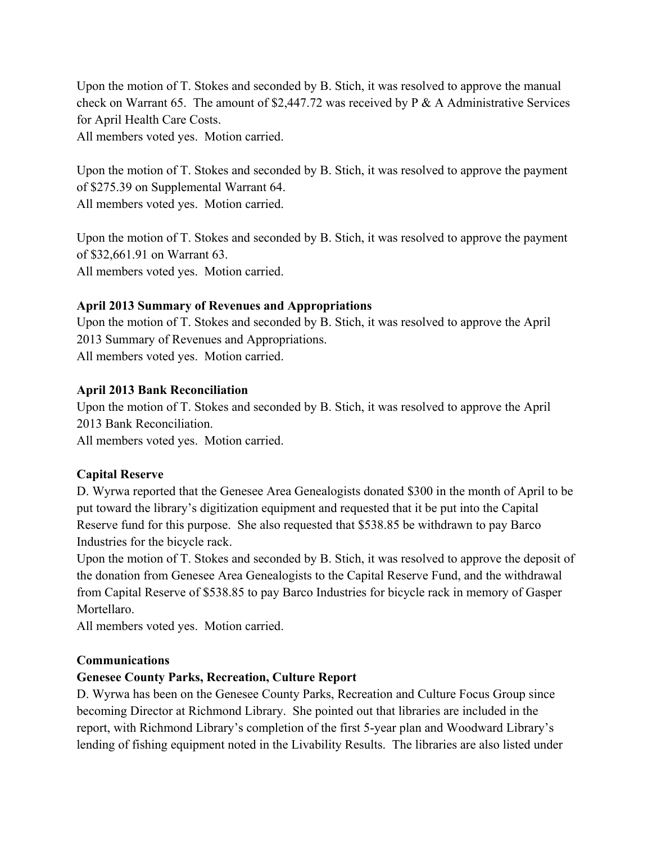Upon the motion of T. Stokes and seconded by B. Stich, it was resolved to approve the manual check on Warrant 65. The amount of \$2,447.72 was received by P & A Administrative Services for April Health Care Costs.

All members voted yes. Motion carried.

Upon the motion of T. Stokes and seconded by B. Stich, it was resolved to approve the payment of \$275.39 on Supplemental Warrant 64. All members voted yes. Motion carried.

Upon the motion of T. Stokes and seconded by B. Stich, it was resolved to approve the payment of \$32,661.91 on Warrant 63.

All members voted yes. Motion carried.

# **April 2013 Summary of Revenues and Appropriations**

Upon the motion of T. Stokes and seconded by B. Stich, it was resolved to approve the April 2013 Summary of Revenues and Appropriations. All members voted yes. Motion carried.

### **April 2013 Bank Reconciliation**

Upon the motion of T. Stokes and seconded by B. Stich, it was resolved to approve the April 2013 Bank Reconciliation.

All members voted yes. Motion carried.

# **Capital Reserve**

D. Wyrwa reported that the Genesee Area Genealogists donated \$300 in the month of April to be put toward the library's digitization equipment and requested that it be put into the Capital Reserve fund for this purpose. She also requested that \$538.85 be withdrawn to pay Barco Industries for the bicycle rack.

Upon the motion of T. Stokes and seconded by B. Stich, it was resolved to approve the deposit of the donation from Genesee Area Genealogists to the Capital Reserve Fund, and the withdrawal from Capital Reserve of \$538.85 to pay Barco Industries for bicycle rack in memory of Gasper Mortellaro.

All members voted yes. Motion carried.

#### **Communications**

# **Genesee County Parks, Recreation, Culture Report**

D. Wyrwa has been on the Genesee County Parks, Recreation and Culture Focus Group since becoming Director at Richmond Library. She pointed out that libraries are included in the report, with Richmond Library's completion of the first 5-year plan and Woodward Library's lending of fishing equipment noted in the Livability Results. The libraries are also listed under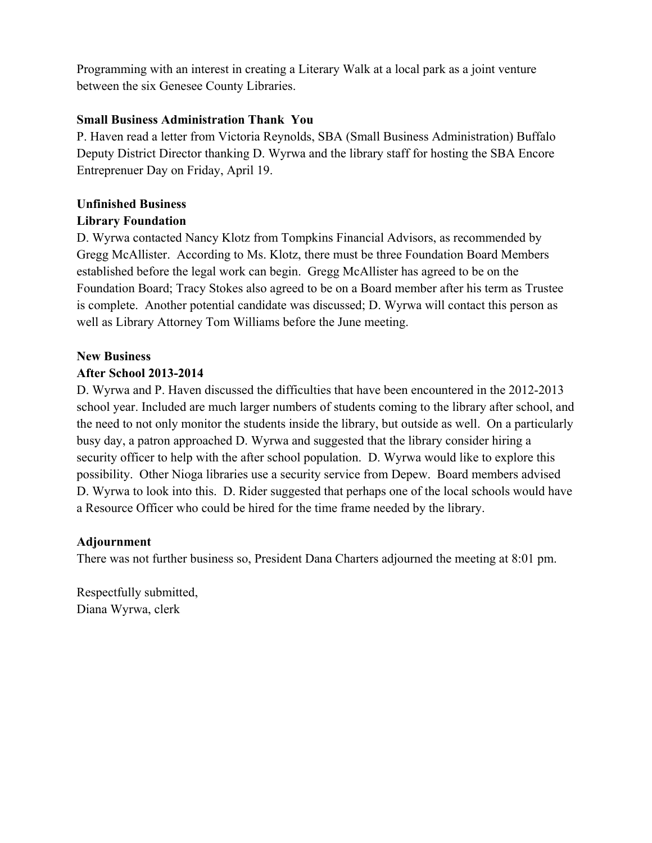Programming with an interest in creating a Literary Walk at a local park as a joint venture between the six Genesee County Libraries.

# **Small Business Administration Thank You**

P. Haven read a letter from Victoria Reynolds, SBA (Small Business Administration) Buffalo Deputy District Director thanking D. Wyrwa and the library staff for hosting the SBA Encore Entreprenuer Day on Friday, April 19.

# **Unfinished Business**

# **Library Foundation**

D. Wyrwa contacted Nancy Klotz from Tompkins Financial Advisors, as recommended by Gregg McAllister. According to Ms. Klotz, there must be three Foundation Board Members established before the legal work can begin. Gregg McAllister has agreed to be on the Foundation Board; Tracy Stokes also agreed to be on a Board member after his term as Trustee is complete. Another potential candidate was discussed; D. Wyrwa will contact this person as well as Library Attorney Tom Williams before the June meeting.

# **New Business**

# **After School 2013-2014**

D. Wyrwa and P. Haven discussed the difficulties that have been encountered in the 2012-2013 school year. Included are much larger numbers of students coming to the library after school, and the need to not only monitor the students inside the library, but outside as well. On a particularly busy day, a patron approached D. Wyrwa and suggested that the library consider hiring a security officer to help with the after school population. D. Wyrwa would like to explore this possibility. Other Nioga libraries use a security service from Depew. Board members advised D. Wyrwa to look into this. D. Rider suggested that perhaps one of the local schools would have a Resource Officer who could be hired for the time frame needed by the library.

# **Adjournment**

There was not further business so, President Dana Charters adjourned the meeting at 8:01 pm.

Respectfully submitted, Diana Wyrwa, clerk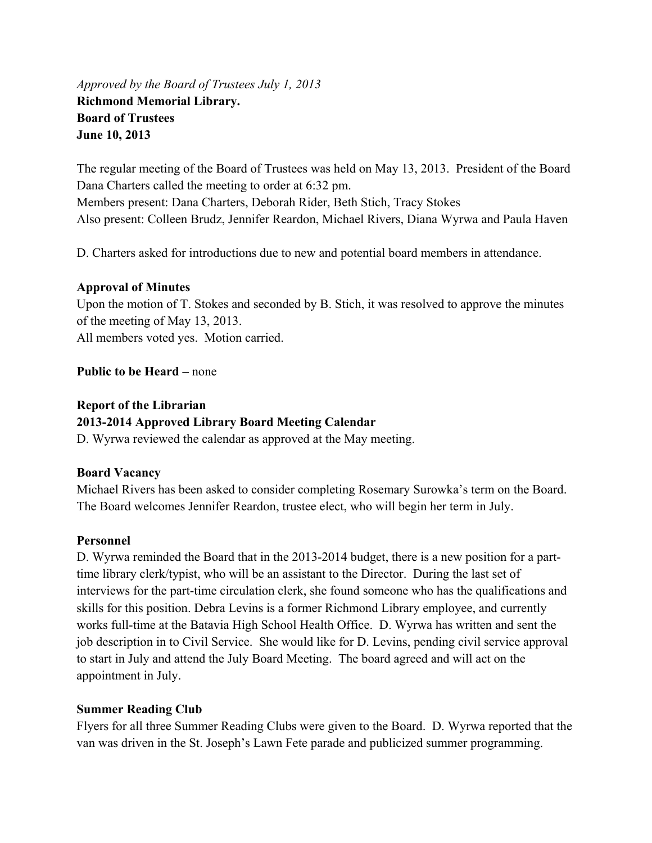*Approved by the Board of Trustees July 1, 2013*  **Richmond Memorial Library. Board of Trustees June 10, 2013** 

The regular meeting of the Board of Trustees was held on May 13, 2013. President of the Board Dana Charters called the meeting to order at 6:32 pm. Members present: Dana Charters, Deborah Rider, Beth Stich, Tracy Stokes Also present: Colleen Brudz, Jennifer Reardon, Michael Rivers, Diana Wyrwa and Paula Haven

D. Charters asked for introductions due to new and potential board members in attendance.

# **Approval of Minutes**

Upon the motion of T. Stokes and seconded by B. Stich, it was resolved to approve the minutes of the meeting of May 13, 2013. All members voted yes. Motion carried.

# **Public to be Heard –** none

# **Report of the Librarian**

# **2013-2014 Approved Library Board Meeting Calendar**

D. Wyrwa reviewed the calendar as approved at the May meeting.

# **Board Vacancy**

Michael Rivers has been asked to consider completing Rosemary Surowka's term on the Board. The Board welcomes Jennifer Reardon, trustee elect, who will begin her term in July.

# **Personnel**

D. Wyrwa reminded the Board that in the 2013-2014 budget, there is a new position for a parttime library clerk/typist, who will be an assistant to the Director. During the last set of interviews for the part-time circulation clerk, she found someone who has the qualifications and skills for this position. Debra Levins is a former Richmond Library employee, and currently works full-time at the Batavia High School Health Office. D. Wyrwa has written and sent the job description in to Civil Service. She would like for D. Levins, pending civil service approval to start in July and attend the July Board Meeting. The board agreed and will act on the appointment in July.

# **Summer Reading Club**

Flyers for all three Summer Reading Clubs were given to the Board. D. Wyrwa reported that the van was driven in the St. Joseph's Lawn Fete parade and publicized summer programming.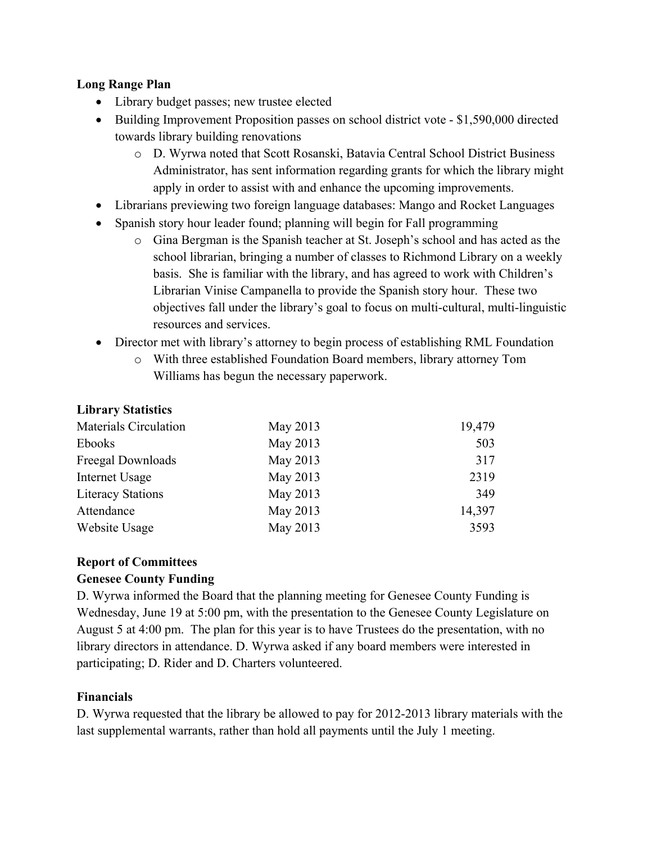# **Long Range Plan**

- Library budget passes; new trustee elected
- Building Improvement Proposition passes on school district vote \$1,590,000 directed towards library building renovations
	- o D. Wyrwa noted that Scott Rosanski, Batavia Central School District Business Administrator, has sent information regarding grants for which the library might apply in order to assist with and enhance the upcoming improvements.
- Librarians previewing two foreign language databases: Mango and Rocket Languages
- Spanish story hour leader found; planning will begin for Fall programming
	- o Gina Bergman is the Spanish teacher at St. Joseph's school and has acted as the school librarian, bringing a number of classes to Richmond Library on a weekly basis. She is familiar with the library, and has agreed to work with Children's Librarian Vinise Campanella to provide the Spanish story hour. These two objectives fall under the library's goal to focus on multi-cultural, multi-linguistic resources and services.
- Director met with library's attorney to begin process of establishing RML Foundation
	- o With three established Foundation Board members, library attorney Tom Williams has begun the necessary paperwork.

# **Library Statistics**

| <b>Materials Circulation</b> | May 2013 | 19,479 |
|------------------------------|----------|--------|
| Ebooks                       | May 2013 | 503    |
| Freegal Downloads            | May 2013 | 317    |
| Internet Usage               | May 2013 | 2319   |
| <b>Literacy Stations</b>     | May 2013 | 349    |
| Attendance                   | May 2013 | 14,397 |
| Website Usage                | May 2013 | 3593   |

# **Report of Committees**

# **Genesee County Funding**

D. Wyrwa informed the Board that the planning meeting for Genesee County Funding is Wednesday, June 19 at 5:00 pm, with the presentation to the Genesee County Legislature on August 5 at 4:00 pm. The plan for this year is to have Trustees do the presentation, with no library directors in attendance. D. Wyrwa asked if any board members were interested in participating; D. Rider and D. Charters volunteered.

# **Financials**

D. Wyrwa requested that the library be allowed to pay for 2012-2013 library materials with the last supplemental warrants, rather than hold all payments until the July 1 meeting.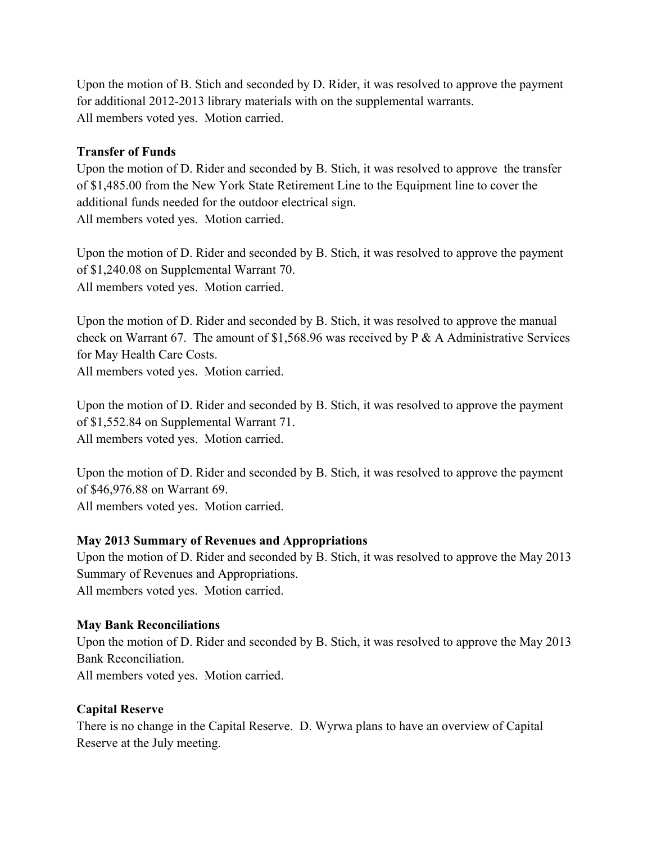Upon the motion of B. Stich and seconded by D. Rider, it was resolved to approve the payment for additional 2012-2013 library materials with on the supplemental warrants. All members voted yes. Motion carried.

# **Transfer of Funds**

Upon the motion of D. Rider and seconded by B. Stich, it was resolved to approve the transfer of \$1,485.00 from the New York State Retirement Line to the Equipment line to cover the additional funds needed for the outdoor electrical sign. All members voted yes. Motion carried.

Upon the motion of D. Rider and seconded by B. Stich, it was resolved to approve the payment of \$1,240.08 on Supplemental Warrant 70. All members voted yes. Motion carried.

Upon the motion of D. Rider and seconded by B. Stich, it was resolved to approve the manual check on Warrant 67. The amount of \$1,568.96 was received by P & A Administrative Services for May Health Care Costs. All members voted yes. Motion carried.

Upon the motion of D. Rider and seconded by B. Stich, it was resolved to approve the payment of \$1,552.84 on Supplemental Warrant 71. All members voted yes. Motion carried.

Upon the motion of D. Rider and seconded by B. Stich, it was resolved to approve the payment of \$46,976.88 on Warrant 69. All members voted yes. Motion carried.

# **May 2013 Summary of Revenues and Appropriations**

Upon the motion of D. Rider and seconded by B. Stich, it was resolved to approve the May 2013 Summary of Revenues and Appropriations. All members voted yes. Motion carried.

# **May Bank Reconciliations**

Upon the motion of D. Rider and seconded by B. Stich, it was resolved to approve the May 2013 Bank Reconciliation. All members voted yes. Motion carried.

# **Capital Reserve**

There is no change in the Capital Reserve. D. Wyrwa plans to have an overview of Capital Reserve at the July meeting.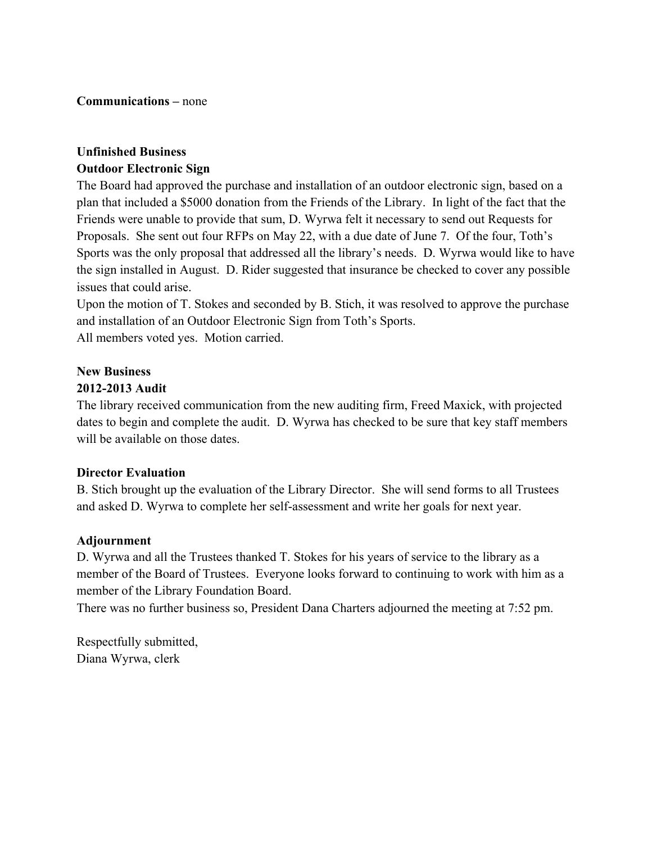**Communications –** none

# **Unfinished Business Outdoor Electronic Sign**

The Board had approved the purchase and installation of an outdoor electronic sign, based on a plan that included a \$5000 donation from the Friends of the Library. In light of the fact that the Friends were unable to provide that sum, D. Wyrwa felt it necessary to send out Requests for Proposals. She sent out four RFPs on May 22, with a due date of June 7. Of the four, Toth's Sports was the only proposal that addressed all the library's needs. D. Wyrwa would like to have the sign installed in August. D. Rider suggested that insurance be checked to cover any possible issues that could arise.

Upon the motion of T. Stokes and seconded by B. Stich, it was resolved to approve the purchase and installation of an Outdoor Electronic Sign from Toth's Sports. All members voted yes. Motion carried.

# **New Business**

# **2012-2013 Audit**

The library received communication from the new auditing firm, Freed Maxick, with projected dates to begin and complete the audit. D. Wyrwa has checked to be sure that key staff members will be available on those dates.

# **Director Evaluation**

B. Stich brought up the evaluation of the Library Director. She will send forms to all Trustees and asked D. Wyrwa to complete her self-assessment and write her goals for next year.

# **Adjournment**

D. Wyrwa and all the Trustees thanked T. Stokes for his years of service to the library as a member of the Board of Trustees. Everyone looks forward to continuing to work with him as a member of the Library Foundation Board.

There was no further business so, President Dana Charters adjourned the meeting at 7:52 pm.

Respectfully submitted, Diana Wyrwa, clerk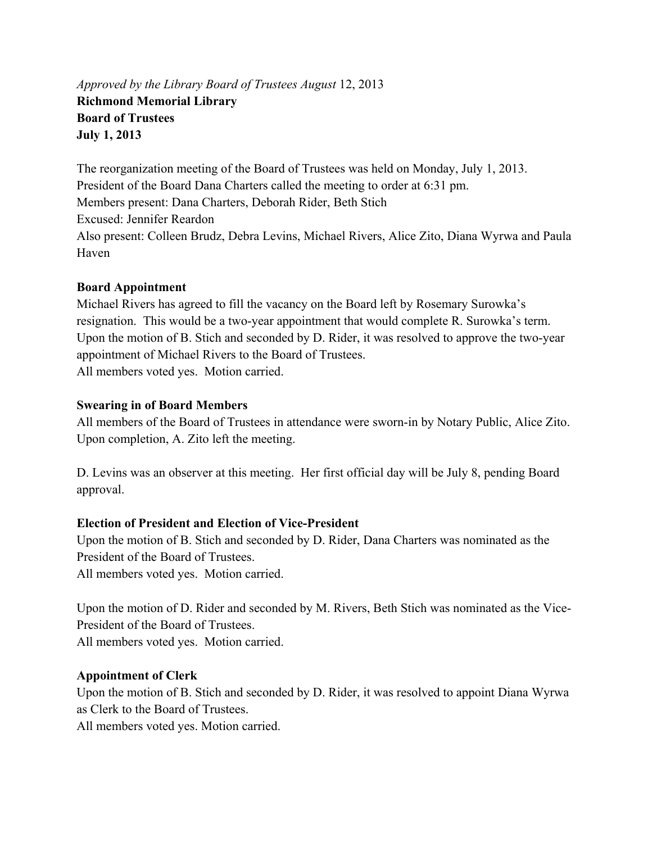*Approved by the Library Board of Trustees August* 12, 2013 **Richmond Memorial Library Board of Trustees July 1, 2013** 

The reorganization meeting of the Board of Trustees was held on Monday, July 1, 2013. President of the Board Dana Charters called the meeting to order at 6:31 pm. Members present: Dana Charters, Deborah Rider, Beth Stich Excused: Jennifer Reardon Also present: Colleen Brudz, Debra Levins, Michael Rivers, Alice Zito, Diana Wyrwa and Paula Haven

# **Board Appointment**

Michael Rivers has agreed to fill the vacancy on the Board left by Rosemary Surowka's resignation. This would be a two-year appointment that would complete R. Surowka's term. Upon the motion of B. Stich and seconded by D. Rider, it was resolved to approve the two-year appointment of Michael Rivers to the Board of Trustees. All members voted yes. Motion carried.

# **Swearing in of Board Members**

All members of the Board of Trustees in attendance were sworn-in by Notary Public, Alice Zito. Upon completion, A. Zito left the meeting.

D. Levins was an observer at this meeting. Her first official day will be July 8, pending Board approval.

# **Election of President and Election of Vice-President**

Upon the motion of B. Stich and seconded by D. Rider, Dana Charters was nominated as the President of the Board of Trustees.

All members voted yes. Motion carried.

Upon the motion of D. Rider and seconded by M. Rivers, Beth Stich was nominated as the Vice-President of the Board of Trustees. All members voted yes. Motion carried.

# **Appointment of Clerk**

Upon the motion of B. Stich and seconded by D. Rider, it was resolved to appoint Diana Wyrwa as Clerk to the Board of Trustees.

All members voted yes. Motion carried.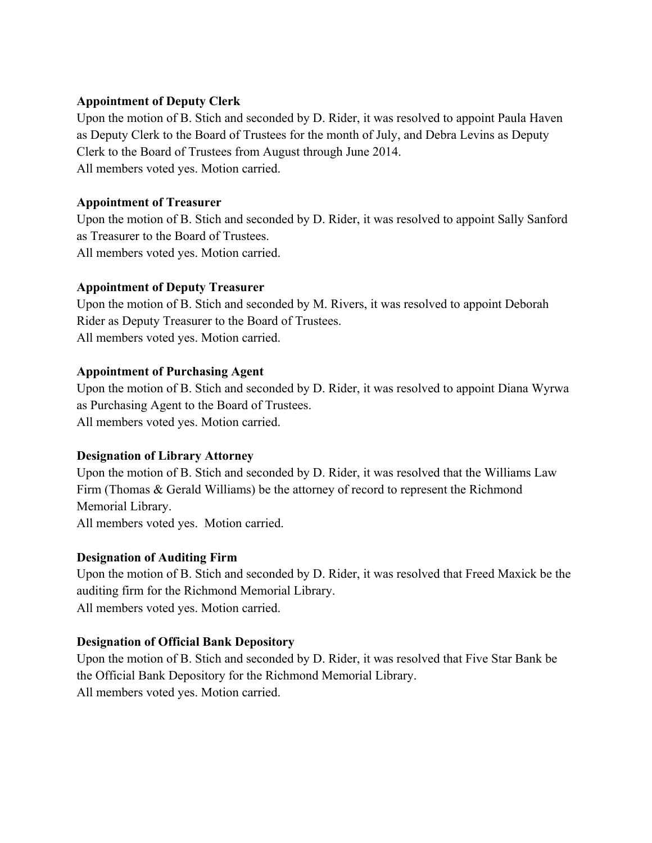# **Appointment of Deputy Clerk**

Upon the motion of B. Stich and seconded by D. Rider, it was resolved to appoint Paula Haven as Deputy Clerk to the Board of Trustees for the month of July, and Debra Levins as Deputy Clerk to the Board of Trustees from August through June 2014. All members voted yes. Motion carried.

### **Appointment of Treasurer**

Upon the motion of B. Stich and seconded by D. Rider, it was resolved to appoint Sally Sanford as Treasurer to the Board of Trustees. All members voted yes. Motion carried.

### **Appointment of Deputy Treasurer**

Upon the motion of B. Stich and seconded by M. Rivers, it was resolved to appoint Deborah Rider as Deputy Treasurer to the Board of Trustees. All members voted yes. Motion carried.

### **Appointment of Purchasing Agent**

Upon the motion of B. Stich and seconded by D. Rider, it was resolved to appoint Diana Wyrwa as Purchasing Agent to the Board of Trustees. All members voted yes. Motion carried.

#### **Designation of Library Attorney**

Upon the motion of B. Stich and seconded by D. Rider, it was resolved that the Williams Law Firm (Thomas & Gerald Williams) be the attorney of record to represent the Richmond Memorial Library. All members voted yes. Motion carried.

#### **Designation of Auditing Firm**

Upon the motion of B. Stich and seconded by D. Rider, it was resolved that Freed Maxick be the auditing firm for the Richmond Memorial Library. All members voted yes. Motion carried.

# **Designation of Official Bank Depository**

Upon the motion of B. Stich and seconded by D. Rider, it was resolved that Five Star Bank be the Official Bank Depository for the Richmond Memorial Library. All members voted yes. Motion carried.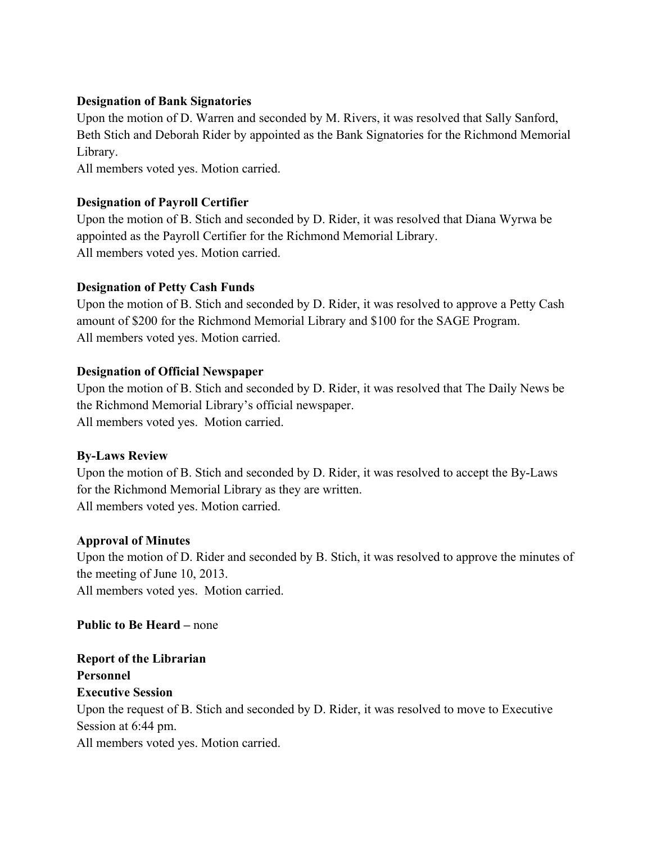# **Designation of Bank Signatories**

Upon the motion of D. Warren and seconded by M. Rivers, it was resolved that Sally Sanford, Beth Stich and Deborah Rider by appointed as the Bank Signatories for the Richmond Memorial Library.

All members voted yes. Motion carried.

# **Designation of Payroll Certifier**

Upon the motion of B. Stich and seconded by D. Rider, it was resolved that Diana Wyrwa be appointed as the Payroll Certifier for the Richmond Memorial Library. All members voted yes. Motion carried.

# **Designation of Petty Cash Funds**

Upon the motion of B. Stich and seconded by D. Rider, it was resolved to approve a Petty Cash amount of \$200 for the Richmond Memorial Library and \$100 for the SAGE Program. All members voted yes. Motion carried.

# **Designation of Official Newspaper**

Upon the motion of B. Stich and seconded by D. Rider, it was resolved that The Daily News be the Richmond Memorial Library's official newspaper. All members voted yes. Motion carried.

# **By-Laws Review**

Upon the motion of B. Stich and seconded by D. Rider, it was resolved to accept the By-Laws for the Richmond Memorial Library as they are written. All members voted yes. Motion carried.

# **Approval of Minutes**

Upon the motion of D. Rider and seconded by B. Stich, it was resolved to approve the minutes of the meeting of June 10, 2013.

All members voted yes. Motion carried.

**Public to Be Heard –** none

**Report of the Librarian Personnel Executive Session**  Upon the request of B. Stich and seconded by D. Rider, it was resolved to move to Executive Session at 6:44 pm. All members voted yes. Motion carried.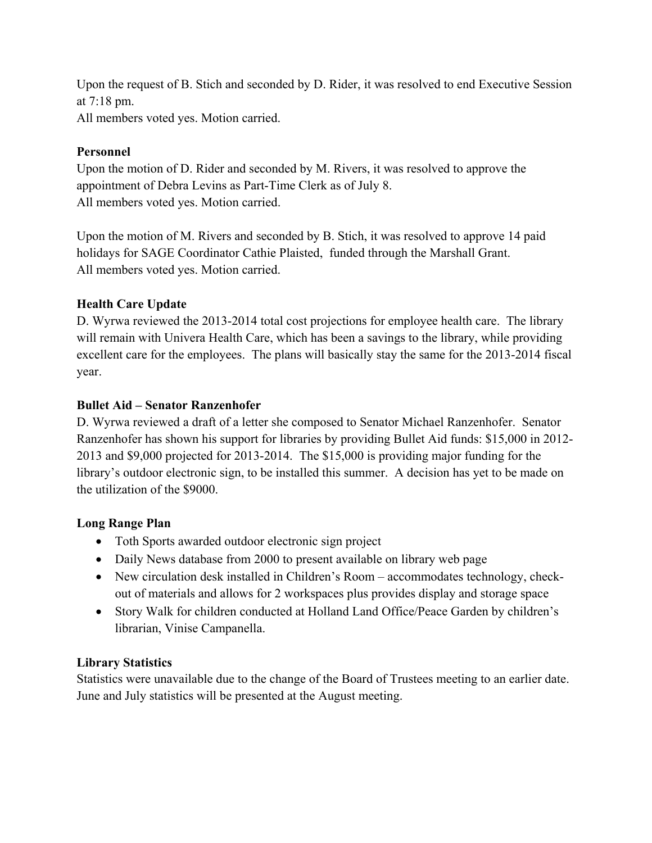Upon the request of B. Stich and seconded by D. Rider, it was resolved to end Executive Session at 7:18 pm. All members voted yes. Motion carried.

# **Personnel**

Upon the motion of D. Rider and seconded by M. Rivers, it was resolved to approve the appointment of Debra Levins as Part-Time Clerk as of July 8. All members voted yes. Motion carried.

Upon the motion of M. Rivers and seconded by B. Stich, it was resolved to approve 14 paid holidays for SAGE Coordinator Cathie Plaisted, funded through the Marshall Grant. All members voted yes. Motion carried.

# **Health Care Update**

D. Wyrwa reviewed the 2013-2014 total cost projections for employee health care. The library will remain with Univera Health Care, which has been a savings to the library, while providing excellent care for the employees. The plans will basically stay the same for the 2013-2014 fiscal year.

# **Bullet Aid – Senator Ranzenhofer**

D. Wyrwa reviewed a draft of a letter she composed to Senator Michael Ranzenhofer. Senator Ranzenhofer has shown his support for libraries by providing Bullet Aid funds: \$15,000 in 2012- 2013 and \$9,000 projected for 2013-2014. The \$15,000 is providing major funding for the library's outdoor electronic sign, to be installed this summer. A decision has yet to be made on the utilization of the \$9000.

# **Long Range Plan**

- Toth Sports awarded outdoor electronic sign project
- Daily News database from 2000 to present available on library web page
- New circulation desk installed in Children's Room accommodates technology, checkout of materials and allows for 2 workspaces plus provides display and storage space
- Story Walk for children conducted at Holland Land Office/Peace Garden by children's librarian, Vinise Campanella.

# **Library Statistics**

Statistics were unavailable due to the change of the Board of Trustees meeting to an earlier date. June and July statistics will be presented at the August meeting.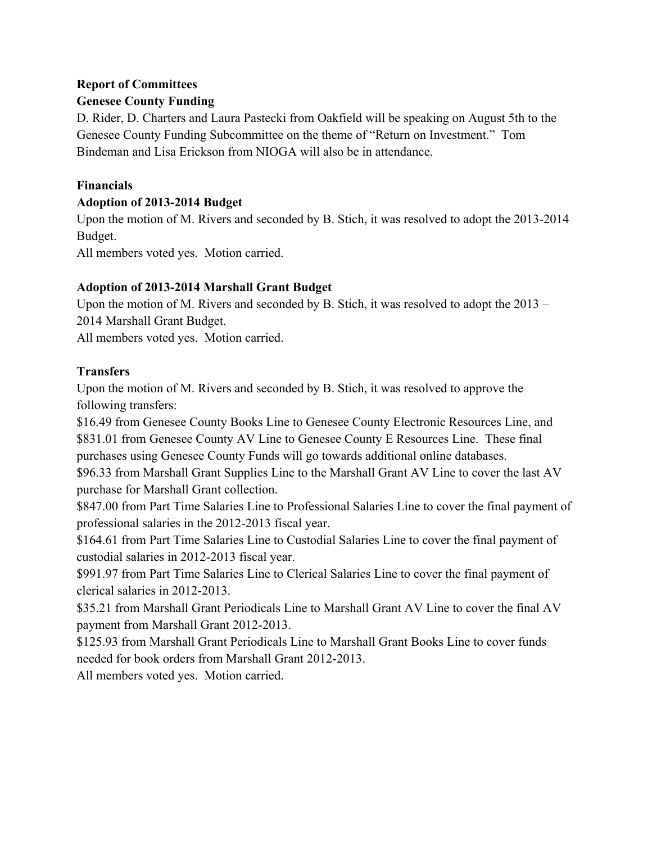# **Report of Committees Genesee County Funding**

D. Rider, D. Charters and Laura Pastecki from Oakfield will be speaking on August 5th to the Genesee County Funding Subcommittee on the theme of "Return on Investment." Tom Bindeman and Lisa Erickson from NIOGA will also be in attendance.

# **Financials**

# **Adoption of 2013-2014 Budget**

Upon the motion of M. Rivers and seconded by B. Stich, it was resolved to adopt the 2013-2014 Budget.

All members voted yes. Motion carried.

# **Adoption of 2013-2014 Marshall Grant Budget**

Upon the motion of M. Rivers and seconded by B. Stich, it was resolved to adopt the 2013 – 2014 Marshall Grant Budget.

All members voted yes. Motion carried.

# **Transfers**

Upon the motion of M. Rivers and seconded by B. Stich, it was resolved to approve the following transfers:

\$16.49 from Genesee County Books Line to Genesee County Electronic Resources Line, and \$831.01 from Genesee County AV Line to Genesee County E Resources Line. These final purchases using Genesee County Funds will go towards additional online databases.

\$96.33 from Marshall Grant Supplies Line to the Marshall Grant AV Line to cover the last AV purchase for Marshall Grant collection.

\$847.00 from Part Time Salaries Line to Professional Salaries Line to cover the final payment of professional salaries in the 2012-2013 fiscal year.

\$164.61 from Part Time Salaries Line to Custodial Salaries Line to cover the final payment of custodial salaries in 2012-2013 fiscal year.

\$991.97 from Part Time Salaries Line to Clerical Salaries Line to cover the final payment of clerical salaries in 2012-2013.

\$35.21 from Marshall Grant Periodicals Line to Marshall Grant AV Line to cover the final AV payment from Marshall Grant 2012-2013.

\$125.93 from Marshall Grant Periodicals Line to Marshall Grant Books Line to cover funds needed for book orders from Marshall Grant 2012-2013.

All members voted yes. Motion carried.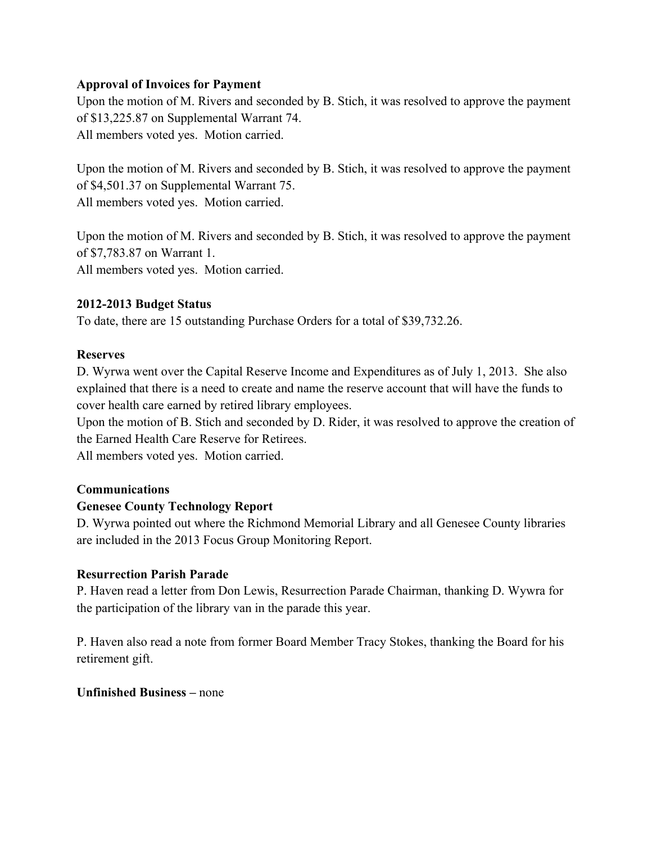### **Approval of Invoices for Payment**

Upon the motion of M. Rivers and seconded by B. Stich, it was resolved to approve the payment of \$13,225.87 on Supplemental Warrant 74. All members voted yes. Motion carried.

Upon the motion of M. Rivers and seconded by B. Stich, it was resolved to approve the payment of \$4,501.37 on Supplemental Warrant 75. All members voted yes. Motion carried.

Upon the motion of M. Rivers and seconded by B. Stich, it was resolved to approve the payment of \$7,783.87 on Warrant 1.

All members voted yes. Motion carried.

# **2012-2013 Budget Status**

To date, there are 15 outstanding Purchase Orders for a total of \$39,732.26.

### **Reserves**

D. Wyrwa went over the Capital Reserve Income and Expenditures as of July 1, 2013. She also explained that there is a need to create and name the reserve account that will have the funds to cover health care earned by retired library employees.

Upon the motion of B. Stich and seconded by D. Rider, it was resolved to approve the creation of the Earned Health Care Reserve for Retirees.

All members voted yes. Motion carried.

# **Communications**

# **Genesee County Technology Report**

D. Wyrwa pointed out where the Richmond Memorial Library and all Genesee County libraries are included in the 2013 Focus Group Monitoring Report.

# **Resurrection Parish Parade**

P. Haven read a letter from Don Lewis, Resurrection Parade Chairman, thanking D. Wywra for the participation of the library van in the parade this year.

P. Haven also read a note from former Board Member Tracy Stokes, thanking the Board for his retirement gift.

#### **Unfinished Business –** none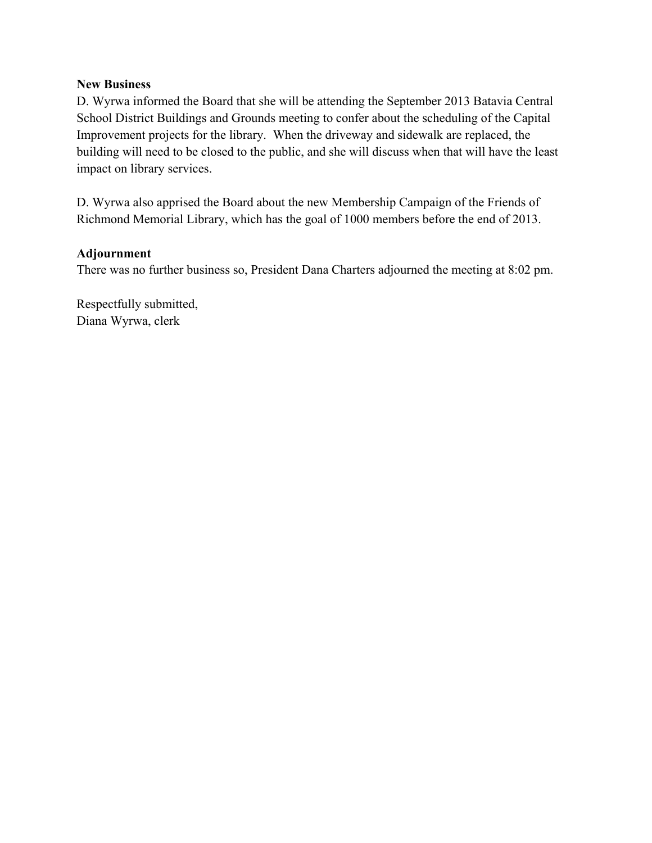#### **New Business**

D. Wyrwa informed the Board that she will be attending the September 2013 Batavia Central School District Buildings and Grounds meeting to confer about the scheduling of the Capital Improvement projects for the library. When the driveway and sidewalk are replaced, the building will need to be closed to the public, and she will discuss when that will have the least impact on library services.

D. Wyrwa also apprised the Board about the new Membership Campaign of the Friends of Richmond Memorial Library, which has the goal of 1000 members before the end of 2013.

# **Adjournment**

There was no further business so, President Dana Charters adjourned the meeting at 8:02 pm.

Respectfully submitted, Diana Wyrwa, clerk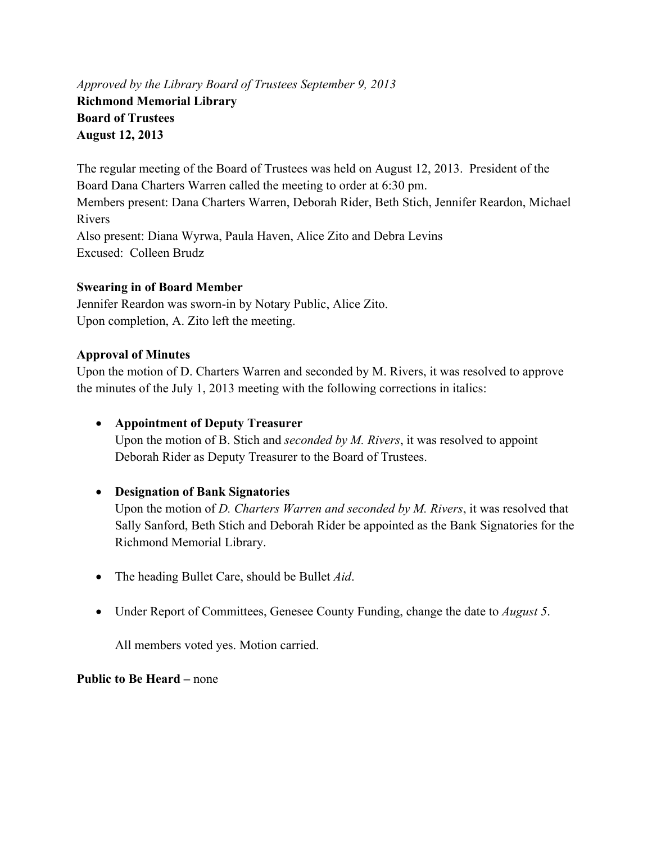# *Approved by the Library Board of Trustees September 9, 2013*  **Richmond Memorial Library Board of Trustees August 12, 2013**

The regular meeting of the Board of Trustees was held on August 12, 2013. President of the Board Dana Charters Warren called the meeting to order at 6:30 pm. Members present: Dana Charters Warren, Deborah Rider, Beth Stich, Jennifer Reardon, Michael Rivers Also present: Diana Wyrwa, Paula Haven, Alice Zito and Debra Levins Excused: Colleen Brudz

# **Swearing in of Board Member**

Jennifer Reardon was sworn-in by Notary Public, Alice Zito. Upon completion, A. Zito left the meeting.

### **Approval of Minutes**

Upon the motion of D. Charters Warren and seconded by M. Rivers, it was resolved to approve the minutes of the July 1, 2013 meeting with the following corrections in italics:

**Appointment of Deputy Treasurer** 

Upon the motion of B. Stich and *seconded by M. Rivers*, it was resolved to appoint Deborah Rider as Deputy Treasurer to the Board of Trustees.

**Designation of Bank Signatories** 

Upon the motion of *D. Charters Warren and seconded by M. Rivers*, it was resolved that Sally Sanford, Beth Stich and Deborah Rider be appointed as the Bank Signatories for the Richmond Memorial Library.

- The heading Bullet Care, should be Bullet *Aid*.
- Under Report of Committees, Genesee County Funding, change the date to *August 5*.

All members voted yes. Motion carried.

**Public to Be Heard – none**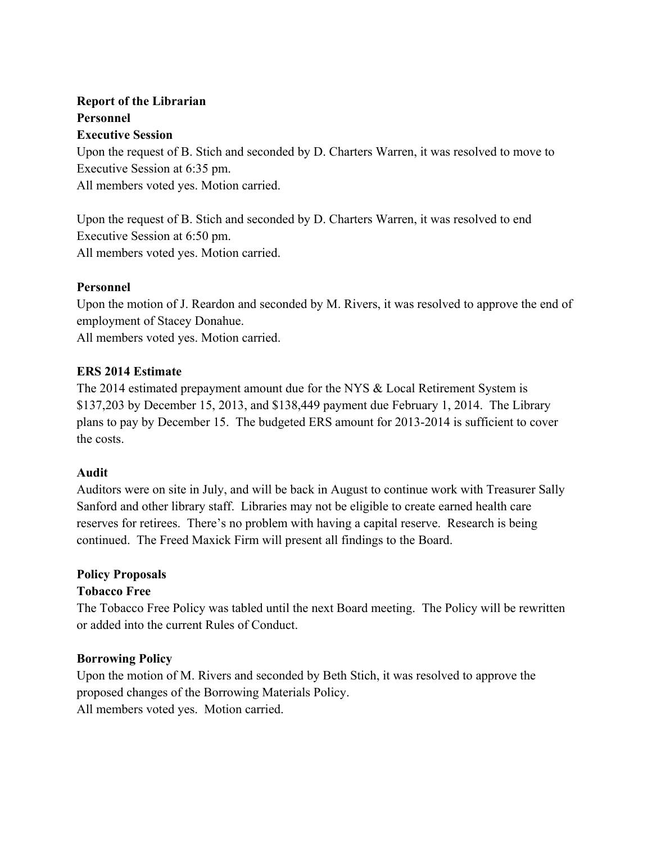# **Report of the Librarian Personnel Executive Session**

Upon the request of B. Stich and seconded by D. Charters Warren, it was resolved to move to Executive Session at 6:35 pm. All members voted yes. Motion carried.

Upon the request of B. Stich and seconded by D. Charters Warren, it was resolved to end Executive Session at 6:50 pm. All members voted yes. Motion carried.

# **Personnel**

Upon the motion of J. Reardon and seconded by M. Rivers, it was resolved to approve the end of employment of Stacey Donahue.

All members voted yes. Motion carried.

# **ERS 2014 Estimate**

The 2014 estimated prepayment amount due for the NYS & Local Retirement System is \$137,203 by December 15, 2013, and \$138,449 payment due February 1, 2014. The Library plans to pay by December 15. The budgeted ERS amount for 2013-2014 is sufficient to cover the costs.

# **Audit**

Auditors were on site in July, and will be back in August to continue work with Treasurer Sally Sanford and other library staff. Libraries may not be eligible to create earned health care reserves for retirees. There's no problem with having a capital reserve. Research is being continued. The Freed Maxick Firm will present all findings to the Board.

# **Policy Proposals**

# **Tobacco Free**

The Tobacco Free Policy was tabled until the next Board meeting. The Policy will be rewritten or added into the current Rules of Conduct.

# **Borrowing Policy**

Upon the motion of M. Rivers and seconded by Beth Stich, it was resolved to approve the proposed changes of the Borrowing Materials Policy.

All members voted yes. Motion carried.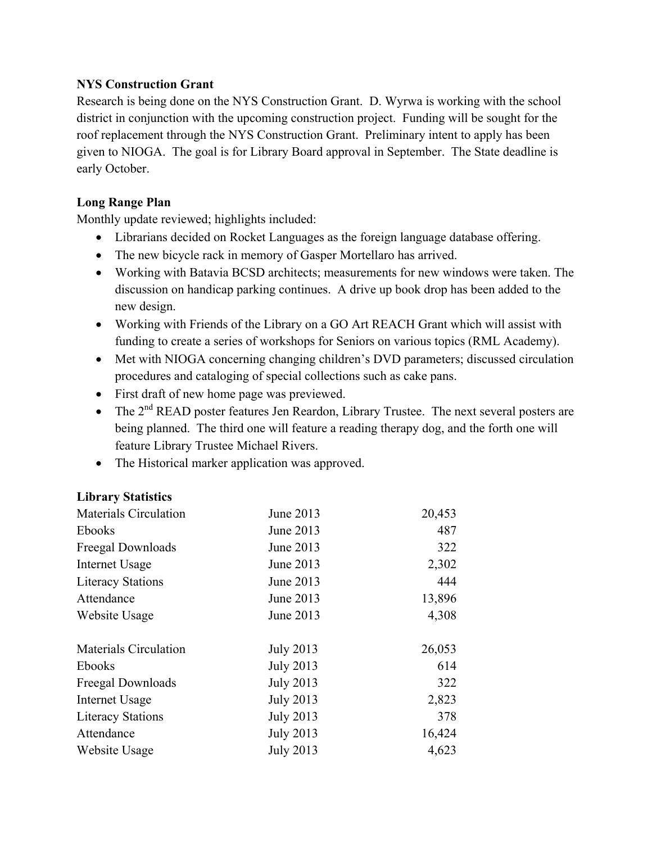# **NYS Construction Grant**

Research is being done on the NYS Construction Grant. D. Wyrwa is working with the school district in conjunction with the upcoming construction project. Funding will be sought for the roof replacement through the NYS Construction Grant. Preliminary intent to apply has been given to NIOGA. The goal is for Library Board approval in September. The State deadline is early October.

# **Long Range Plan**

Monthly update reviewed; highlights included:

- Librarians decided on Rocket Languages as the foreign language database offering.
- The new bicycle rack in memory of Gasper Mortellaro has arrived.
- Working with Batavia BCSD architects; measurements for new windows were taken. The discussion on handicap parking continues. A drive up book drop has been added to the new design.
- Working with Friends of the Library on a GO Art REACH Grant which will assist with funding to create a series of workshops for Seniors on various topics (RML Academy).
- Met with NIOGA concerning changing children's DVD parameters; discussed circulation procedures and cataloging of special collections such as cake pans.
- First draft of new home page was previewed.
- The 2<sup>nd</sup> READ poster features Jen Reardon, Library Trustee. The next several posters are being planned. The third one will feature a reading therapy dog, and the forth one will feature Library Trustee Michael Rivers.
- The Historical marker application was approved.

# **Library Statistics**

| <b>Materials Circulation</b> | June 2013        | 20,453 |
|------------------------------|------------------|--------|
| Ebooks                       | June 2013        | 487    |
| Freegal Downloads            | June 2013        | 322    |
| <b>Internet Usage</b>        | June 2013        | 2,302  |
| <b>Literacy Stations</b>     | June 2013        | 444    |
| Attendance                   | June 2013        | 13,896 |
| Website Usage                | June 2013        | 4,308  |
| <b>Materials Circulation</b> | <b>July 2013</b> | 26,053 |
| <b>Ebooks</b>                | <b>July 2013</b> | 614    |
| Freegal Downloads            | <b>July 2013</b> | 322    |
| Internet Usage               | <b>July 2013</b> | 2,823  |
| <b>Literacy Stations</b>     | <b>July 2013</b> | 378    |
| Attendance                   | <b>July 2013</b> | 16,424 |
| Website Usage                | <b>July 2013</b> | 4,623  |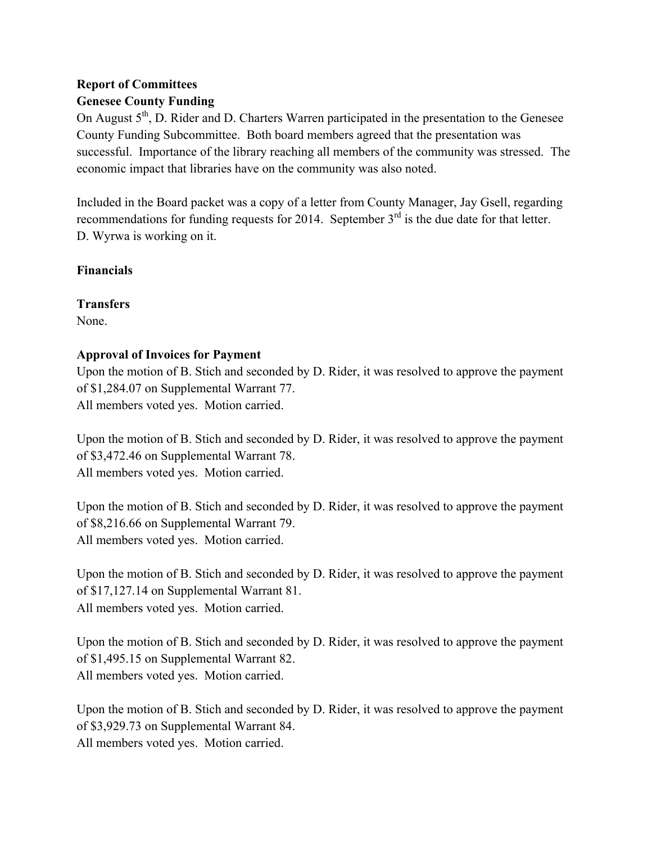# **Report of Committees Genesee County Funding**

On August 5<sup>th</sup>, D. Rider and D. Charters Warren participated in the presentation to the Genesee County Funding Subcommittee. Both board members agreed that the presentation was successful. Importance of the library reaching all members of the community was stressed. The economic impact that libraries have on the community was also noted.

Included in the Board packet was a copy of a letter from County Manager, Jay Gsell, regarding recommendations for funding requests for 2014. September  $3<sup>rd</sup>$  is the due date for that letter. D. Wyrwa is working on it.

# **Financials**

**Transfers** 

None.

# **Approval of Invoices for Payment**

Upon the motion of B. Stich and seconded by D. Rider, it was resolved to approve the payment of \$1,284.07 on Supplemental Warrant 77. All members voted yes. Motion carried.

Upon the motion of B. Stich and seconded by D. Rider, it was resolved to approve the payment of \$3,472.46 on Supplemental Warrant 78. All members voted yes. Motion carried.

Upon the motion of B. Stich and seconded by D. Rider, it was resolved to approve the payment of \$8,216.66 on Supplemental Warrant 79. All members voted yes. Motion carried.

Upon the motion of B. Stich and seconded by D. Rider, it was resolved to approve the payment of \$17,127.14 on Supplemental Warrant 81. All members voted yes. Motion carried.

Upon the motion of B. Stich and seconded by D. Rider, it was resolved to approve the payment of \$1,495.15 on Supplemental Warrant 82. All members voted yes. Motion carried.

Upon the motion of B. Stich and seconded by D. Rider, it was resolved to approve the payment of \$3,929.73 on Supplemental Warrant 84. All members voted yes. Motion carried.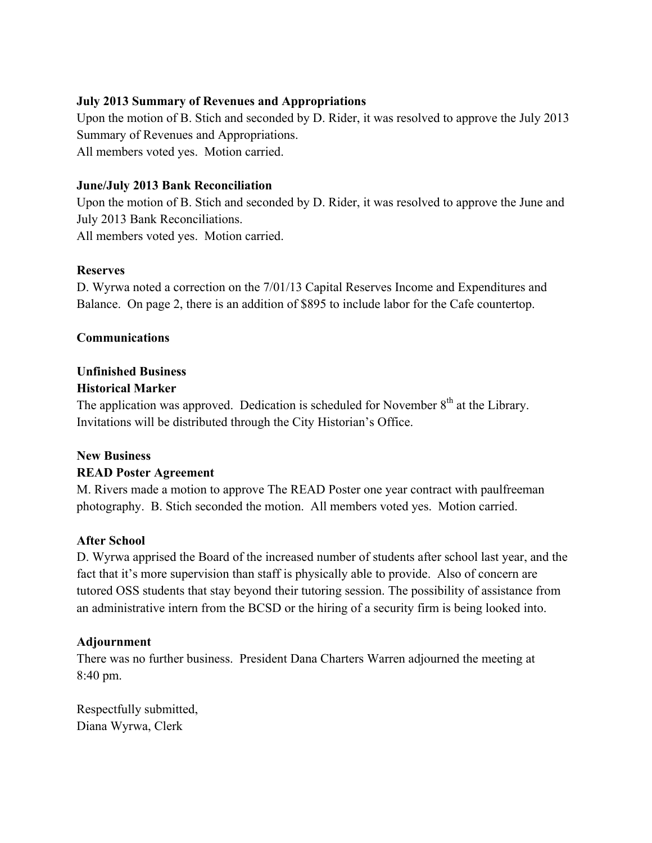# **July 2013 Summary of Revenues and Appropriations**

Upon the motion of B. Stich and seconded by D. Rider, it was resolved to approve the July 2013 Summary of Revenues and Appropriations. All members voted yes. Motion carried.

### **June/July 2013 Bank Reconciliation**

Upon the motion of B. Stich and seconded by D. Rider, it was resolved to approve the June and July 2013 Bank Reconciliations. All members voted yes. Motion carried.

### **Reserves**

D. Wyrwa noted a correction on the 7/01/13 Capital Reserves Income and Expenditures and Balance. On page 2, there is an addition of \$895 to include labor for the Cafe countertop.

### **Communications**

# **Unfinished Business**

### **Historical Marker**

The application was approved. Dedication is scheduled for November  $8<sup>th</sup>$  at the Library. Invitations will be distributed through the City Historian's Office.

#### **New Business**

# **READ Poster Agreement**

M. Rivers made a motion to approve The READ Poster one year contract with paulfreeman photography. B. Stich seconded the motion. All members voted yes. Motion carried.

#### **After School**

D. Wyrwa apprised the Board of the increased number of students after school last year, and the fact that it's more supervision than staff is physically able to provide. Also of concern are tutored OSS students that stay beyond their tutoring session. The possibility of assistance from an administrative intern from the BCSD or the hiring of a security firm is being looked into.

# **Adjournment**

There was no further business. President Dana Charters Warren adjourned the meeting at 8:40 pm.

Respectfully submitted, Diana Wyrwa, Clerk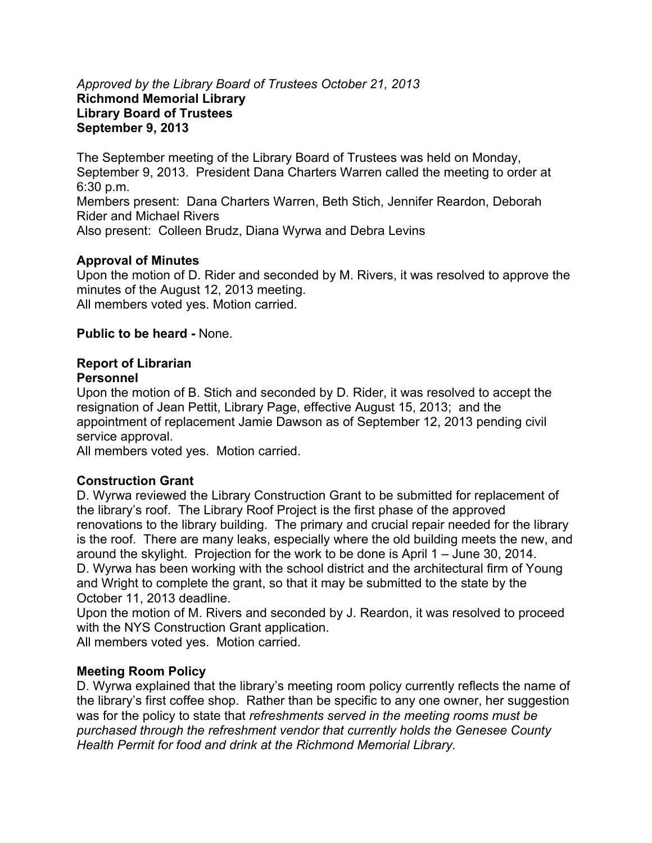### *Approved by the Library Board of Trustees October 21, 2013*  **Richmond Memorial Library Library Board of Trustees September 9, 2013**

The September meeting of the Library Board of Trustees was held on Monday, September 9, 2013. President Dana Charters Warren called the meeting to order at 6:30 p.m. Members present: Dana Charters Warren, Beth Stich, Jennifer Reardon, Deborah Rider and Michael Rivers Also present: Colleen Brudz, Diana Wyrwa and Debra Levins

# **Approval of Minutes**

Upon the motion of D. Rider and seconded by M. Rivers, it was resolved to approve the minutes of the August 12, 2013 meeting. All members voted yes. Motion carried.

# **Public to be heard -** None.

# **Report of Librarian**

# **Personnel**

Upon the motion of B. Stich and seconded by D. Rider, it was resolved to accept the resignation of Jean Pettit, Library Page, effective August 15, 2013; and the appointment of replacement Jamie Dawson as of September 12, 2013 pending civil service approval.

All members voted yes. Motion carried.

# **Construction Grant**

D. Wyrwa reviewed the Library Construction Grant to be submitted for replacement of the library's roof. The Library Roof Project is the first phase of the approved renovations to the library building. The primary and crucial repair needed for the library is the roof. There are many leaks, especially where the old building meets the new, and around the skylight. Projection for the work to be done is April 1 – June 30, 2014. D. Wyrwa has been working with the school district and the architectural firm of Young and Wright to complete the grant, so that it may be submitted to the state by the October 11, 2013 deadline.

Upon the motion of M. Rivers and seconded by J. Reardon, it was resolved to proceed with the NYS Construction Grant application.

All members voted yes. Motion carried.

# **Meeting Room Policy**

D. Wyrwa explained that the library's meeting room policy currently reflects the name of the library's first coffee shop. Rather than be specific to any one owner, her suggestion was for the policy to state that *refreshments served in the meeting rooms must be purchased through the refreshment vendor that currently holds the Genesee County Health Permit for food and drink at the Richmond Memorial Library.*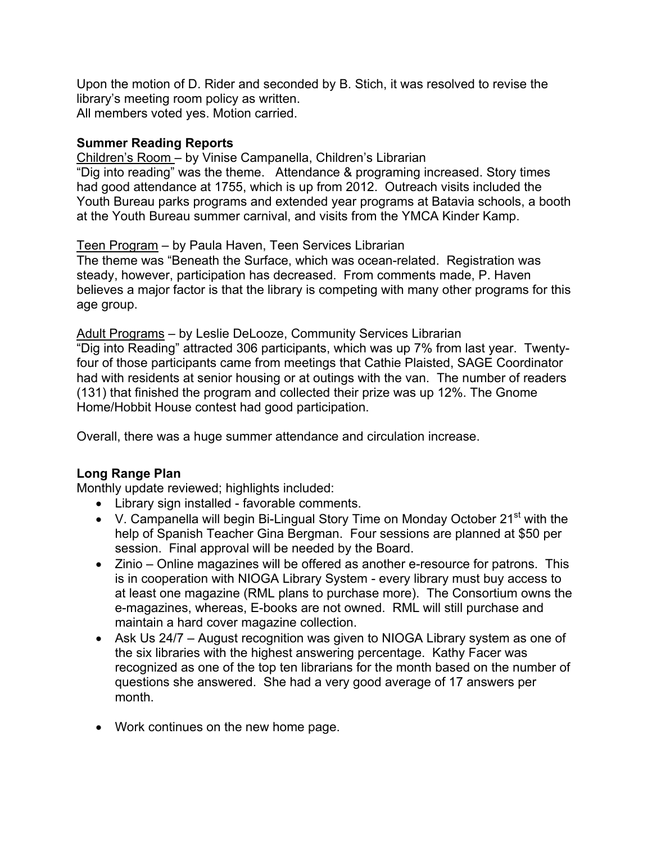Upon the motion of D. Rider and seconded by B. Stich, it was resolved to revise the library's meeting room policy as written. All members voted yes. Motion carried.

# **Summer Reading Reports**

Children's Room – by Vinise Campanella, Children's Librarian "Dig into reading" was the theme. Attendance & programing increased. Story times had good attendance at 1755, which is up from 2012. Outreach visits included the Youth Bureau parks programs and extended year programs at Batavia schools, a booth at the Youth Bureau summer carnival, and visits from the YMCA Kinder Kamp.

# Teen Program – by Paula Haven, Teen Services Librarian

The theme was "Beneath the Surface, which was ocean-related. Registration was steady, however, participation has decreased. From comments made, P. Haven believes a major factor is that the library is competing with many other programs for this age group.

Adult Programs – by Leslie DeLooze, Community Services Librarian "Dig into Reading" attracted 306 participants, which was up 7% from last year. Twentyfour of those participants came from meetings that Cathie Plaisted, SAGE Coordinator had with residents at senior housing or at outings with the van. The number of readers (131) that finished the program and collected their prize was up 12%. The Gnome Home/Hobbit House contest had good participation.

Overall, there was a huge summer attendance and circulation increase.

# **Long Range Plan**

Monthly update reviewed; highlights included:

- Library sign installed favorable comments.
- V. Campanella will begin Bi-Lingual Story Time on Monday October  $21<sup>st</sup>$  with the help of Spanish Teacher Gina Bergman. Four sessions are planned at \$50 per session. Final approval will be needed by the Board.
- Zinio Online magazines will be offered as another e-resource for patrons. This is in cooperation with NIOGA Library System - every library must buy access to at least one magazine (RML plans to purchase more). The Consortium owns the e-magazines, whereas, E-books are not owned. RML will still purchase and maintain a hard cover magazine collection.
- Ask Us 24/7 August recognition was given to NIOGA Library system as one of the six libraries with the highest answering percentage. Kathy Facer was recognized as one of the top ten librarians for the month based on the number of questions she answered. She had a very good average of 17 answers per month.
- Work continues on the new home page.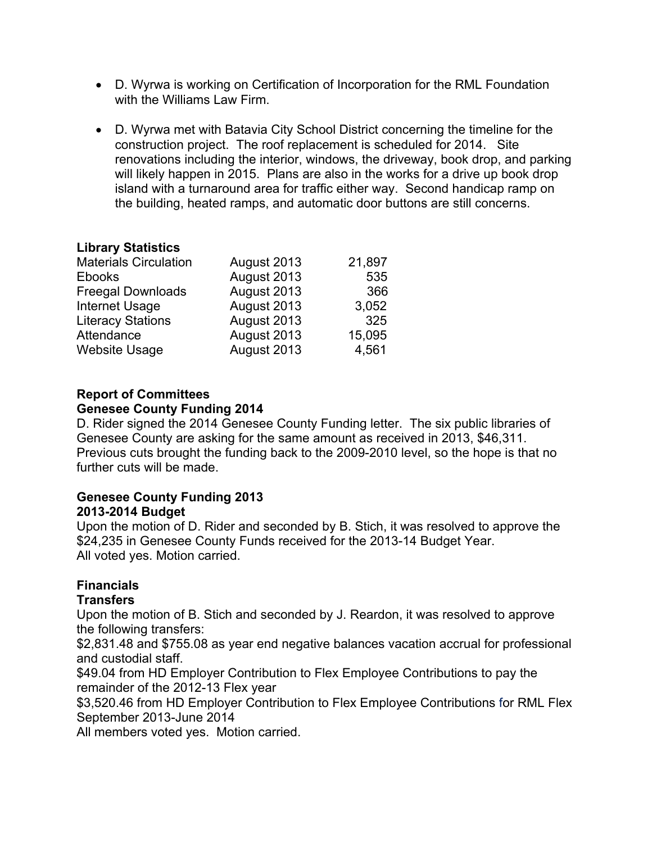- D. Wyrwa is working on Certification of Incorporation for the RML Foundation with the Williams Law Firm.
- D. Wyrwa met with Batavia City School District concerning the timeline for the construction project. The roof replacement is scheduled for 2014. Site renovations including the interior, windows, the driveway, book drop, and parking will likely happen in 2015. Plans are also in the works for a drive up book drop island with a turnaround area for traffic either way. Second handicap ramp on the building, heated ramps, and automatic door buttons are still concerns.

# **Library Statistics**

| <b>Materials Circulation</b> | August 2013 | 21,897 |
|------------------------------|-------------|--------|
| <b>Ebooks</b>                | August 2013 | 535    |
| <b>Freegal Downloads</b>     | August 2013 | 366    |
| <b>Internet Usage</b>        | August 2013 | 3,052  |
| <b>Literacy Stations</b>     | August 2013 | 325    |
| Attendance                   | August 2013 | 15,095 |
| <b>Website Usage</b>         | August 2013 | 4,561  |

# **Report of Committees**

# **Genesee County Funding 2014**

D. Rider signed the 2014 Genesee County Funding letter. The six public libraries of Genesee County are asking for the same amount as received in 2013, \$46,311. Previous cuts brought the funding back to the 2009-2010 level, so the hope is that no further cuts will be made.

### **Genesee County Funding 2013 2013-2014 Budget**

Upon the motion of D. Rider and seconded by B. Stich, it was resolved to approve the \$24,235 in Genesee County Funds received for the 2013-14 Budget Year. All voted yes. Motion carried.

# **Financials**

# **Transfers**

Upon the motion of B. Stich and seconded by J. Reardon, it was resolved to approve the following transfers:

\$2,831.48 and \$755.08 as year end negative balances vacation accrual for professional and custodial staff.

\$49.04 from HD Employer Contribution to Flex Employee Contributions to pay the remainder of the 2012-13 Flex year

\$3,520.46 from HD Employer Contribution to Flex Employee Contributions for RML Flex September 2013-June 2014

All members voted yes. Motion carried.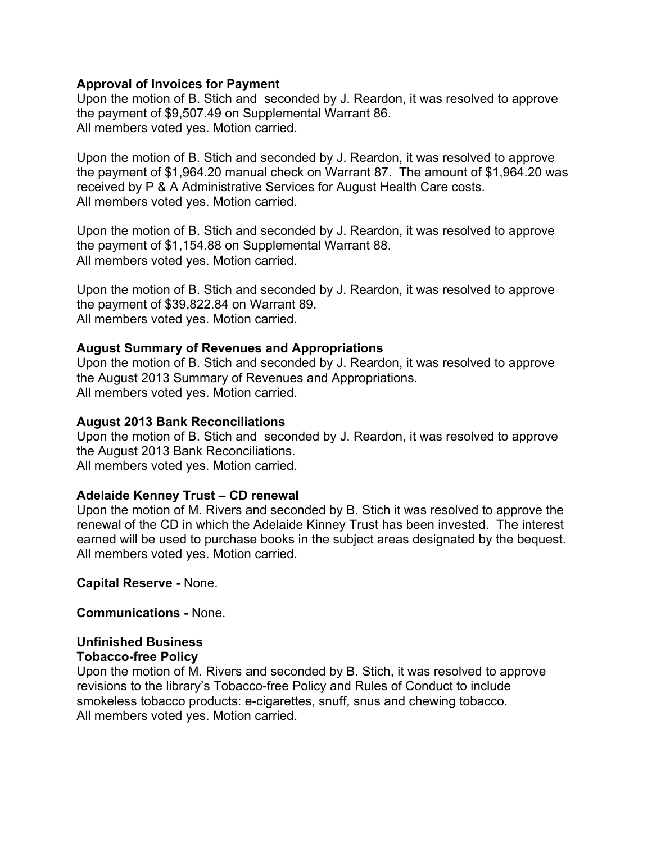### **Approval of Invoices for Payment**

Upon the motion of B. Stich and seconded by J. Reardon, it was resolved to approve the payment of \$9,507.49 on Supplemental Warrant 86. All members voted yes. Motion carried.

Upon the motion of B. Stich and seconded by J. Reardon, it was resolved to approve the payment of \$1,964.20 manual check on Warrant 87. The amount of \$1,964.20 was received by P & A Administrative Services for August Health Care costs. All members voted yes. Motion carried.

Upon the motion of B. Stich and seconded by J. Reardon, it was resolved to approve the payment of \$1,154.88 on Supplemental Warrant 88. All members voted yes. Motion carried.

Upon the motion of B. Stich and seconded by J. Reardon, it was resolved to approve the payment of \$39,822.84 on Warrant 89. All members voted yes. Motion carried.

### **August Summary of Revenues and Appropriations**

Upon the motion of B. Stich and seconded by J. Reardon, it was resolved to approve the August 2013 Summary of Revenues and Appropriations. All members voted yes. Motion carried.

#### **August 2013 Bank Reconciliations**

Upon the motion of B. Stich and seconded by J. Reardon, it was resolved to approve the August 2013 Bank Reconciliations. All members voted yes. Motion carried.

#### **Adelaide Kenney Trust – CD renewal**

Upon the motion of M. Rivers and seconded by B. Stich it was resolved to approve the renewal of the CD in which the Adelaide Kinney Trust has been invested. The interest earned will be used to purchase books in the subject areas designated by the bequest. All members voted yes. Motion carried.

**Capital Reserve -** None.

**Communications -** None.

#### **Unfinished Business Tobacco-free Policy**

Upon the motion of M. Rivers and seconded by B. Stich, it was resolved to approve revisions to the library's Tobacco-free Policy and Rules of Conduct to include smokeless tobacco products: e-cigarettes, snuff, snus and chewing tobacco. All members voted yes. Motion carried.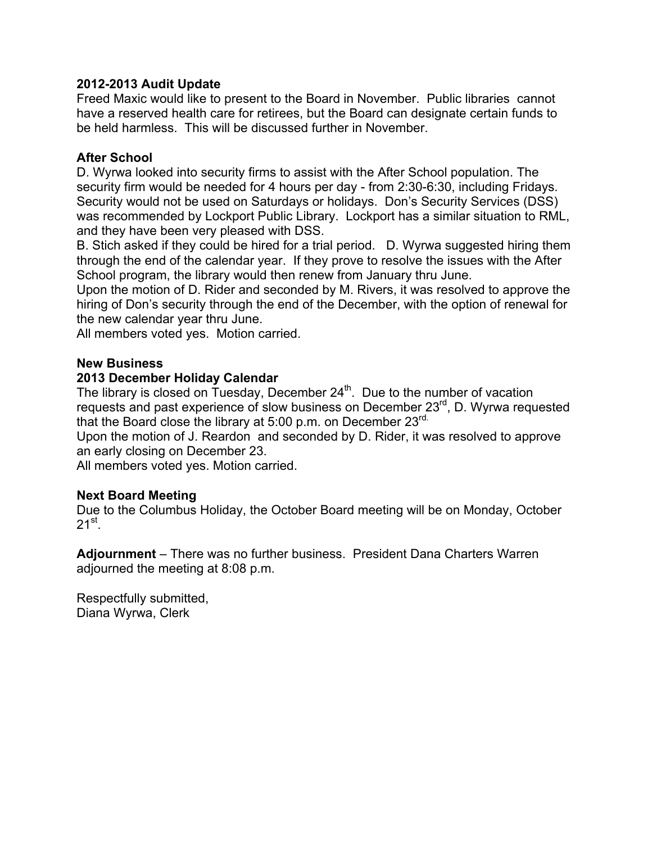### **2012-2013 Audit Update**

Freed Maxic would like to present to the Board in November. Public libraries cannot have a reserved health care for retirees, but the Board can designate certain funds to be held harmless. This will be discussed further in November.

### **After School**

D. Wyrwa looked into security firms to assist with the After School population. The security firm would be needed for 4 hours per day - from 2:30-6:30, including Fridays. Security would not be used on Saturdays or holidays. Don's Security Services (DSS) was recommended by Lockport Public Library. Lockport has a similar situation to RML, and they have been very pleased with DSS.

B. Stich asked if they could be hired for a trial period. D. Wyrwa suggested hiring them through the end of the calendar year. If they prove to resolve the issues with the After School program, the library would then renew from January thru June.

Upon the motion of D. Rider and seconded by M. Rivers, it was resolved to approve the hiring of Don's security through the end of the December, with the option of renewal for the new calendar year thru June.

All members voted yes. Motion carried.

### **New Business**

### **2013 December Holiday Calendar**

The library is closed on Tuesday, December  $24<sup>th</sup>$ . Due to the number of vacation requests and past experience of slow business on December 23<sup>rd</sup>, D. Wyrwa requested that the Board close the library at 5:00 p.m. on December 23<sup>rd.</sup>

Upon the motion of J. Reardon and seconded by D. Rider, it was resolved to approve an early closing on December 23.

All members voted yes. Motion carried.

#### **Next Board Meeting**

Due to the Columbus Holiday, the October Board meeting will be on Monday, October  $21^{st}$ .

**Adjournment** – There was no further business. President Dana Charters Warren adjourned the meeting at 8:08 p.m.

Respectfully submitted, Diana Wyrwa, Clerk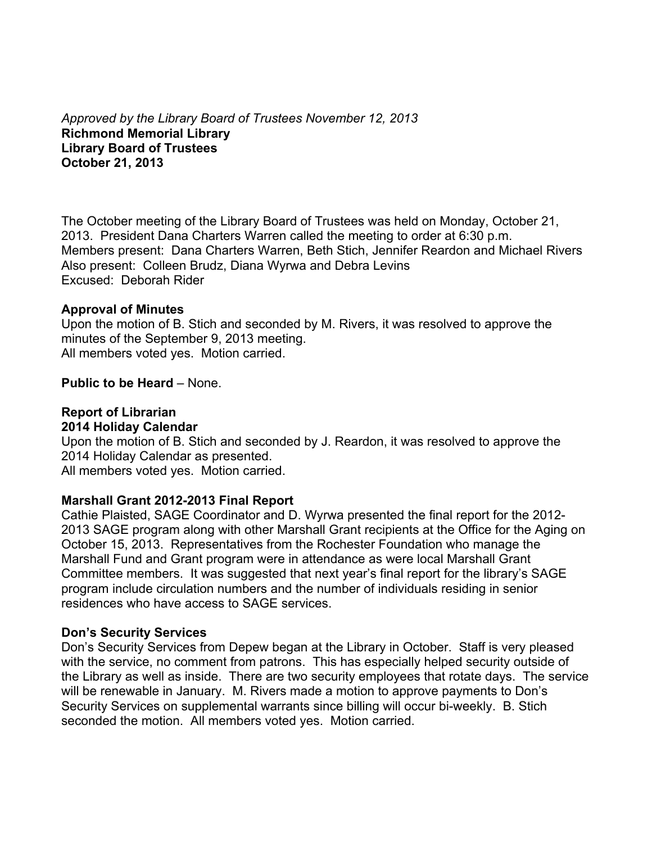*Approved by the Library Board of Trustees November 12, 2013* **Richmond Memorial Library Library Board of Trustees October 21, 2013**

The October meeting of the Library Board of Trustees was held on Monday, October 21, 2013. President Dana Charters Warren called the meeting to order at 6:30 p.m. Members present: Dana Charters Warren, Beth Stich, Jennifer Reardon and Michael Rivers Also present: Colleen Brudz, Diana Wyrwa and Debra Levins Excused: Deborah Rider

### **Approval of Minutes**

Upon the motion of B. Stich and seconded by M. Rivers, it was resolved to approve the minutes of the September 9, 2013 meeting. All members voted yes. Motion carried.

### **Public to be Heard** – None.

### **Report of Librarian 2014 Holiday Calendar**

Upon the motion of B. Stich and seconded by J. Reardon, it was resolved to approve the 2014 Holiday Calendar as presented.

All members voted yes. Motion carried.

# **Marshall Grant 2012-2013 Final Report**

Cathie Plaisted, SAGE Coordinator and D. Wyrwa presented the final report for the 2012- 2013 SAGE program along with other Marshall Grant recipients at the Office for the Aging on October 15, 2013. Representatives from the Rochester Foundation who manage the Marshall Fund and Grant program were in attendance as were local Marshall Grant Committee members. It was suggested that next year's final report for the library's SAGE program include circulation numbers and the number of individuals residing in senior residences who have access to SAGE services.

# **Don's Security Services**

Don's Security Services from Depew began at the Library in October. Staff is very pleased with the service, no comment from patrons. This has especially helped security outside of the Library as well as inside. There are two security employees that rotate days. The service will be renewable in January. M. Rivers made a motion to approve payments to Don's Security Services on supplemental warrants since billing will occur bi-weekly. B. Stich seconded the motion. All members voted yes. Motion carried.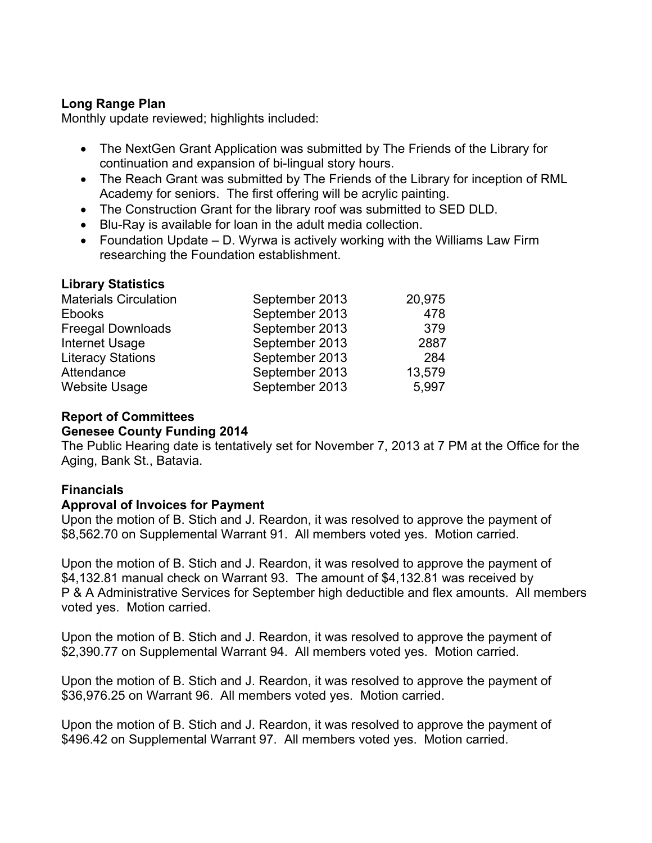# **Long Range Plan**

Monthly update reviewed; highlights included:

- The NextGen Grant Application was submitted by The Friends of the Library for continuation and expansion of bi-lingual story hours.
- The Reach Grant was submitted by The Friends of the Library for inception of RML Academy for seniors. The first offering will be acrylic painting.
- The Construction Grant for the library roof was submitted to SED DLD.
- Blu-Ray is available for loan in the adult media collection.
- Foundation Update D. Wyrwa is actively working with the Williams Law Firm researching the Foundation establishment.

# **Library Statistics**

| <b>Materials Circulation</b> | September 2013 | 20,975 |
|------------------------------|----------------|--------|
| <b>Ebooks</b>                | September 2013 | 478    |
| <b>Freegal Downloads</b>     | September 2013 | 379    |
| Internet Usage               | September 2013 | 2887   |
| <b>Literacy Stations</b>     | September 2013 | 284    |
| Attendance                   | September 2013 | 13,579 |
| <b>Website Usage</b>         | September 2013 | 5,997  |

# **Report of Committees**

# **Genesee County Funding 2014**

The Public Hearing date is tentatively set for November 7, 2013 at 7 PM at the Office for the Aging, Bank St., Batavia.

# **Financials**

# **Approval of Invoices for Payment**

Upon the motion of B. Stich and J. Reardon, it was resolved to approve the payment of \$8,562.70 on Supplemental Warrant 91. All members voted yes. Motion carried.

Upon the motion of B. Stich and J. Reardon, it was resolved to approve the payment of \$4,132.81 manual check on Warrant 93. The amount of \$4,132.81 was received by P & A Administrative Services for September high deductible and flex amounts. All members voted yes. Motion carried.

Upon the motion of B. Stich and J. Reardon, it was resolved to approve the payment of \$2,390.77 on Supplemental Warrant 94. All members voted yes. Motion carried.

Upon the motion of B. Stich and J. Reardon, it was resolved to approve the payment of \$36,976.25 on Warrant 96. All members voted yes. Motion carried.

Upon the motion of B. Stich and J. Reardon, it was resolved to approve the payment of \$496.42 on Supplemental Warrant 97. All members voted yes. Motion carried.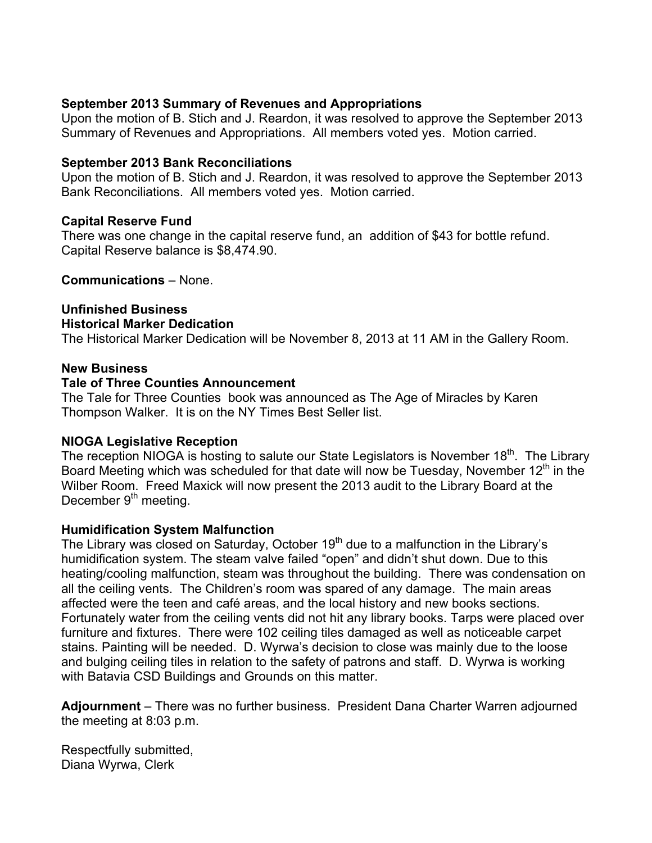# **September 2013 Summary of Revenues and Appropriations**

Upon the motion of B. Stich and J. Reardon, it was resolved to approve the September 2013 Summary of Revenues and Appropriations. All members voted yes. Motion carried.

# **September 2013 Bank Reconciliations**

Upon the motion of B. Stich and J. Reardon, it was resolved to approve the September 2013 Bank Reconciliations. All members voted yes. Motion carried.

# **Capital Reserve Fund**

There was one change in the capital reserve fund, an addition of \$43 for bottle refund. Capital Reserve balance is \$8,474.90.

**Communications** – None.

# **Unfinished Business Historical Marker Dedication**

The Historical Marker Dedication will be November 8, 2013 at 11 AM in the Gallery Room.

# **New Business**

# **Tale of Three Counties Announcement**

The Tale for Three Counties book was announced as The Age of Miracles by Karen Thompson Walker. It is on the NY Times Best Seller list.

# **NIOGA Legislative Reception**

The reception NIOGA is hosting to salute our State Legislators is November 18<sup>th</sup>. The Library Board Meeting which was scheduled for that date will now be Tuesday, November  $12<sup>th</sup>$  in the Wilber Room. Freed Maxick will now present the 2013 audit to the Library Board at the December 9<sup>th</sup> meeting.

# **Humidification System Malfunction**

The Library was closed on Saturday, October  $19<sup>th</sup>$  due to a malfunction in the Library's humidification system. The steam valve failed "open" and didn't shut down. Due to this heating/cooling malfunction, steam was throughout the building. There was condensation on all the ceiling vents. The Children's room was spared of any damage. The main areas affected were the teen and café areas, and the local history and new books sections. Fortunately water from the ceiling vents did not hit any library books. Tarps were placed over furniture and fixtures. There were 102 ceiling tiles damaged as well as noticeable carpet stains. Painting will be needed. D. Wyrwa's decision to close was mainly due to the loose and bulging ceiling tiles in relation to the safety of patrons and staff. D. Wyrwa is working with Batavia CSD Buildings and Grounds on this matter.

**Adjournment** – There was no further business. President Dana Charter Warren adjourned the meeting at 8:03 p.m.

Respectfully submitted, Diana Wyrwa, Clerk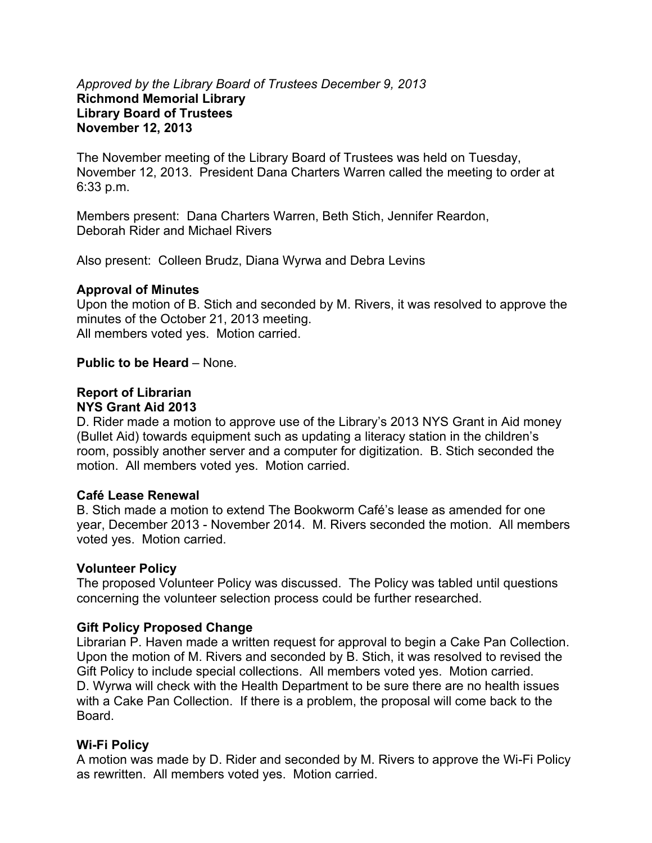### *Approved by the Library Board of Trustees December 9, 2013*  **Richmond Memorial Library Library Board of Trustees November 12, 2013**

The November meeting of the Library Board of Trustees was held on Tuesday, November 12, 2013. President Dana Charters Warren called the meeting to order at 6:33 p.m.

Members present: Dana Charters Warren, Beth Stich, Jennifer Reardon, Deborah Rider and Michael Rivers

Also present: Colleen Brudz, Diana Wyrwa and Debra Levins

# **Approval of Minutes**

Upon the motion of B. Stich and seconded by M. Rivers, it was resolved to approve the minutes of the October 21, 2013 meeting. All members voted yes. Motion carried.

### **Public to be Heard** – None.

# **Report of Librarian**

# **NYS Grant Aid 2013**

D. Rider made a motion to approve use of the Library's 2013 NYS Grant in Aid money (Bullet Aid) towards equipment such as updating a literacy station in the children's room, possibly another server and a computer for digitization. B. Stich seconded the motion. All members voted yes. Motion carried.

#### **Café Lease Renewal**

B. Stich made a motion to extend The Bookworm Café's lease as amended for one year, December 2013 - November 2014. M. Rivers seconded the motion. All members voted yes. Motion carried.

# **Volunteer Policy**

The proposed Volunteer Policy was discussed. The Policy was tabled until questions concerning the volunteer selection process could be further researched.

# **Gift Policy Proposed Change**

Librarian P. Haven made a written request for approval to begin a Cake Pan Collection. Upon the motion of M. Rivers and seconded by B. Stich, it was resolved to revised the Gift Policy to include special collections. All members voted yes. Motion carried. D. Wyrwa will check with the Health Department to be sure there are no health issues with a Cake Pan Collection. If there is a problem, the proposal will come back to the Board.

# **Wi-Fi Policy**

A motion was made by D. Rider and seconded by M. Rivers to approve the Wi-Fi Policy as rewritten. All members voted yes. Motion carried.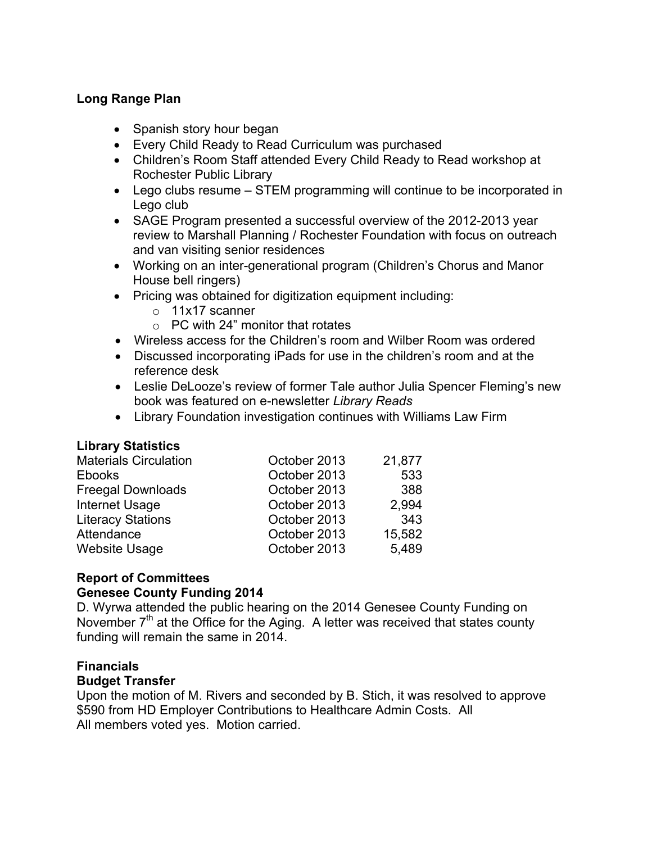# **Long Range Plan**

- Spanish story hour began
- Every Child Ready to Read Curriculum was purchased
- Children's Room Staff attended Every Child Ready to Read workshop at Rochester Public Library
- Lego clubs resume STEM programming will continue to be incorporated in Lego club
- SAGE Program presented a successful overview of the 2012-2013 year review to Marshall Planning / Rochester Foundation with focus on outreach and van visiting senior residences
- Working on an inter-generational program (Children's Chorus and Manor House bell ringers)
- Pricing was obtained for digitization equipment including:
	- o 11x17 scanner
	- $\circ$  PC with 24" monitor that rotates
- Wireless access for the Children's room and Wilber Room was ordered
- Discussed incorporating iPads for use in the children's room and at the reference desk
- Leslie DeLooze's review of former Tale author Julia Spencer Fleming's new book was featured on e-newsletter *Library Reads*
- Library Foundation investigation continues with Williams Law Firm

# **Library Statistics**

| <b>Materials Circulation</b> | October 2013 | 21,877 |
|------------------------------|--------------|--------|
| <b>Ebooks</b>                | October 2013 | 533    |
| <b>Freegal Downloads</b>     | October 2013 | 388    |
| <b>Internet Usage</b>        | October 2013 | 2.994  |
| <b>Literacy Stations</b>     | October 2013 | 343    |
| Attendance                   | October 2013 | 15,582 |
| <b>Website Usage</b>         | October 2013 | 5,489  |

# **Report of Committees**

# **Genesee County Funding 2014**

D. Wyrwa attended the public hearing on the 2014 Genesee County Funding on November  $7<sup>th</sup>$  at the Office for the Aging. A letter was received that states county funding will remain the same in 2014.

# **Financials**

# **Budget Transfer**

Upon the motion of M. Rivers and seconded by B. Stich, it was resolved to approve \$590 from HD Employer Contributions to Healthcare Admin Costs. All All members voted yes. Motion carried.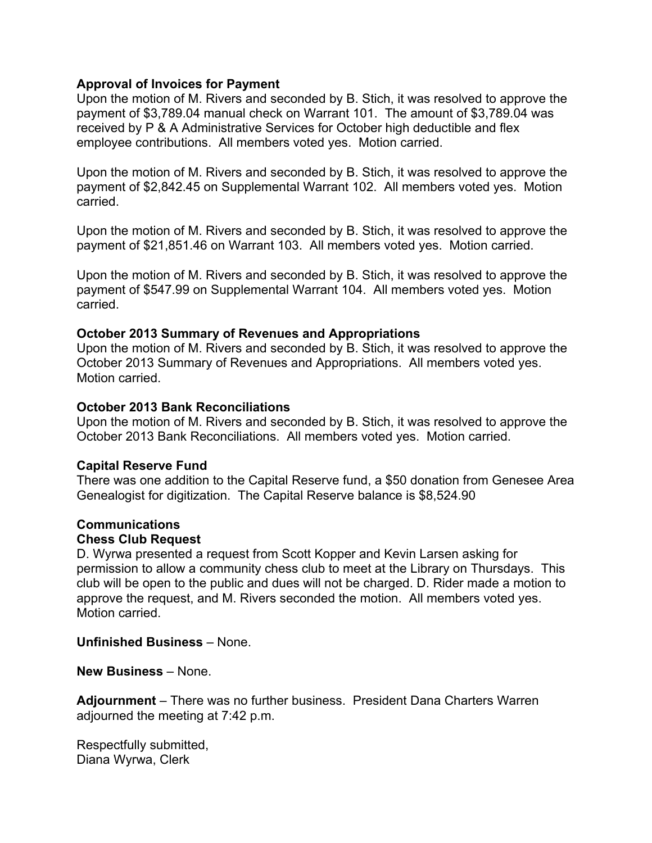### **Approval of Invoices for Payment**

Upon the motion of M. Rivers and seconded by B. Stich, it was resolved to approve the payment of \$3,789.04 manual check on Warrant 101. The amount of \$3,789.04 was received by P & A Administrative Services for October high deductible and flex employee contributions. All members voted yes. Motion carried.

Upon the motion of M. Rivers and seconded by B. Stich, it was resolved to approve the payment of \$2,842.45 on Supplemental Warrant 102. All members voted yes. Motion carried.

Upon the motion of M. Rivers and seconded by B. Stich, it was resolved to approve the payment of \$21,851.46 on Warrant 103. All members voted yes. Motion carried.

Upon the motion of M. Rivers and seconded by B. Stich, it was resolved to approve the payment of \$547.99 on Supplemental Warrant 104. All members voted yes. Motion carried.

#### **October 2013 Summary of Revenues and Appropriations**

Upon the motion of M. Rivers and seconded by B. Stich, it was resolved to approve the October 2013 Summary of Revenues and Appropriations. All members voted yes. Motion carried.

#### **October 2013 Bank Reconciliations**

Upon the motion of M. Rivers and seconded by B. Stich, it was resolved to approve the October 2013 Bank Reconciliations. All members voted yes. Motion carried.

#### **Capital Reserve Fund**

There was one addition to the Capital Reserve fund, a \$50 donation from Genesee Area Genealogist for digitization. The Capital Reserve balance is \$8,524.90

#### **Communications Chess Club Request**

D. Wyrwa presented a request from Scott Kopper and Kevin Larsen asking for permission to allow a community chess club to meet at the Library on Thursdays. This club will be open to the public and dues will not be charged. D. Rider made a motion to approve the request, and M. Rivers seconded the motion. All members voted yes. Motion carried.

**Unfinished Business** – None.

**New Business** – None.

**Adjournment** – There was no further business. President Dana Charters Warren adjourned the meeting at 7:42 p.m.

Respectfully submitted, Diana Wyrwa, Clerk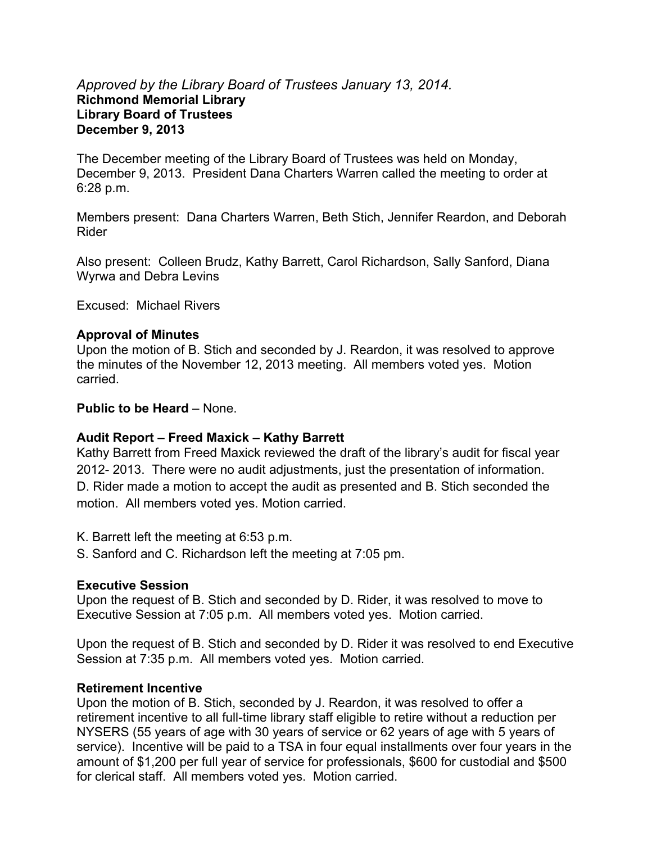# *Approved by the Library Board of Trustees January 13, 2014.*  **Richmond Memorial Library Library Board of Trustees December 9, 2013**

The December meeting of the Library Board of Trustees was held on Monday, December 9, 2013. President Dana Charters Warren called the meeting to order at 6:28 p.m.

Members present: Dana Charters Warren, Beth Stich, Jennifer Reardon, and Deborah Rider

Also present: Colleen Brudz, Kathy Barrett, Carol Richardson, Sally Sanford, Diana Wyrwa and Debra Levins

Excused: Michael Rivers

#### **Approval of Minutes**

Upon the motion of B. Stich and seconded by J. Reardon, it was resolved to approve the minutes of the November 12, 2013 meeting. All members voted yes. Motion carried.

#### **Public to be Heard** – None.

#### **Audit Report – Freed Maxick – Kathy Barrett**

Kathy Barrett from Freed Maxick reviewed the draft of the library's audit for fiscal year 2012- 2013. There were no audit adjustments, just the presentation of information. D. Rider made a motion to accept the audit as presented and B. Stich seconded the motion. All members voted yes. Motion carried.

- K. Barrett left the meeting at 6:53 p.m.
- S. Sanford and C. Richardson left the meeting at 7:05 pm.

#### **Executive Session**

Upon the request of B. Stich and seconded by D. Rider, it was resolved to move to Executive Session at 7:05 p.m. All members voted yes. Motion carried.

Upon the request of B. Stich and seconded by D. Rider it was resolved to end Executive Session at 7:35 p.m. All members voted yes. Motion carried.

#### **Retirement Incentive**

Upon the motion of B. Stich, seconded by J. Reardon, it was resolved to offer a retirement incentive to all full-time library staff eligible to retire without a reduction per NYSERS (55 years of age with 30 years of service or 62 years of age with 5 years of service). Incentive will be paid to a TSA in four equal installments over four years in the amount of \$1,200 per full year of service for professionals, \$600 for custodial and \$500 for clerical staff. All members voted yes. Motion carried.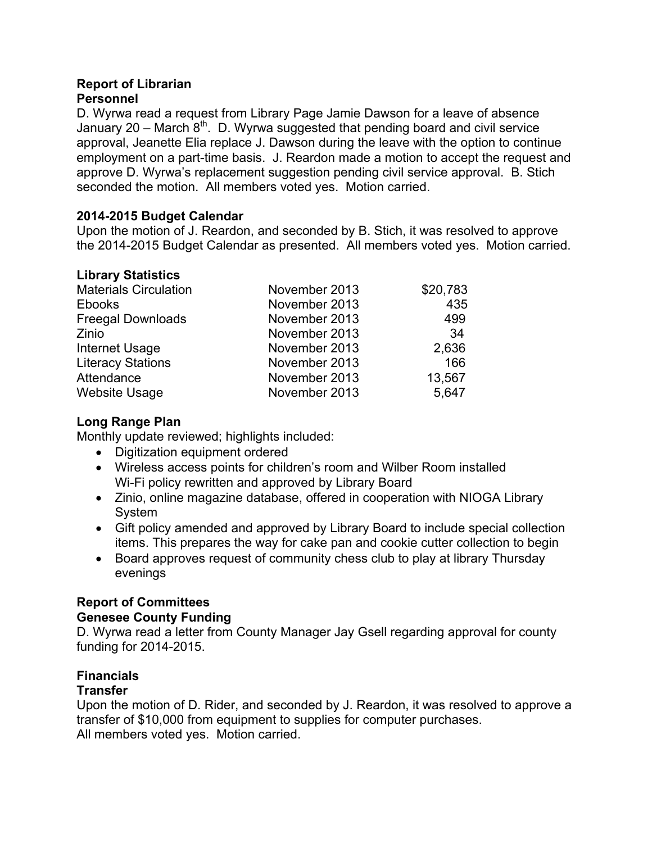# **Report of Librarian Personnel**

D. Wyrwa read a request from Library Page Jamie Dawson for a leave of absence January 20 – March  $8<sup>th</sup>$ . D. Wyrwa suggested that pending board and civil service approval, Jeanette Elia replace J. Dawson during the leave with the option to continue employment on a part-time basis. J. Reardon made a motion to accept the request and approve D. Wyrwa's replacement suggestion pending civil service approval. B. Stich seconded the motion. All members voted yes. Motion carried.

# **2014-2015 Budget Calendar**

Upon the motion of J. Reardon, and seconded by B. Stich, it was resolved to approve the 2014-2015 Budget Calendar as presented. All members voted yes. Motion carried.

# **Library Statistics**

| <b>Materials Circulation</b> | November 2013 | \$20,783 |
|------------------------------|---------------|----------|
| <b>Ebooks</b>                | November 2013 | 435      |
| <b>Freegal Downloads</b>     | November 2013 | 499      |
| Zinio                        | November 2013 | 34       |
| Internet Usage               | November 2013 | 2,636    |
| <b>Literacy Stations</b>     | November 2013 | 166      |
| Attendance                   | November 2013 | 13,567   |
| <b>Website Usage</b>         | November 2013 | 5,647    |

# **Long Range Plan**

Monthly update reviewed; highlights included:

- Digitization equipment ordered
- Wireless access points for children's room and Wilber Room installed Wi-Fi policy rewritten and approved by Library Board
- Zinio, online magazine database, offered in cooperation with NIOGA Library System
- Gift policy amended and approved by Library Board to include special collection items. This prepares the way for cake pan and cookie cutter collection to begin
- Board approves request of community chess club to play at library Thursday evenings

# **Report of Committees**

# **Genesee County Funding**

D. Wyrwa read a letter from County Manager Jay Gsell regarding approval for county funding for 2014-2015.

# **Financials**

# **Transfer**

Upon the motion of D. Rider, and seconded by J. Reardon, it was resolved to approve a transfer of \$10,000 from equipment to supplies for computer purchases. All members voted yes. Motion carried.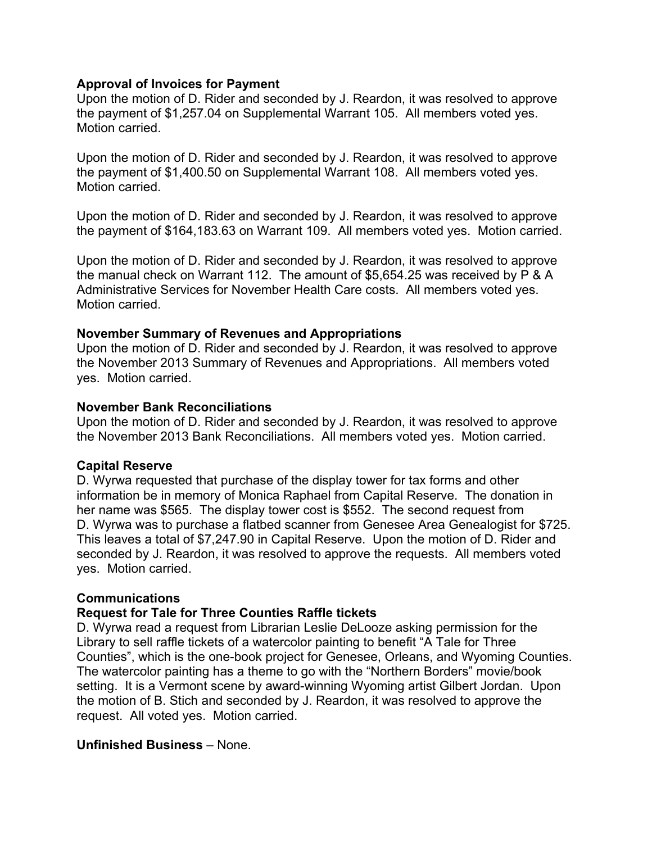### **Approval of Invoices for Payment**

Upon the motion of D. Rider and seconded by J. Reardon, it was resolved to approve the payment of \$1,257.04 on Supplemental Warrant 105. All members voted yes. Motion carried.

Upon the motion of D. Rider and seconded by J. Reardon, it was resolved to approve the payment of \$1,400.50 on Supplemental Warrant 108. All members voted yes. Motion carried.

Upon the motion of D. Rider and seconded by J. Reardon, it was resolved to approve the payment of \$164,183.63 on Warrant 109. All members voted yes. Motion carried.

Upon the motion of D. Rider and seconded by J. Reardon, it was resolved to approve the manual check on Warrant 112. The amount of \$5,654.25 was received by P & A Administrative Services for November Health Care costs. All members voted yes. Motion carried.

### **November Summary of Revenues and Appropriations**

Upon the motion of D. Rider and seconded by J. Reardon, it was resolved to approve the November 2013 Summary of Revenues and Appropriations. All members voted yes. Motion carried.

### **November Bank Reconciliations**

Upon the motion of D. Rider and seconded by J. Reardon, it was resolved to approve the November 2013 Bank Reconciliations. All members voted yes. Motion carried.

# **Capital Reserve**

D. Wyrwa requested that purchase of the display tower for tax forms and other information be in memory of Monica Raphael from Capital Reserve. The donation in her name was \$565. The display tower cost is \$552. The second request from D. Wyrwa was to purchase a flatbed scanner from Genesee Area Genealogist for \$725. This leaves a total of \$7,247.90 in Capital Reserve. Upon the motion of D. Rider and seconded by J. Reardon, it was resolved to approve the requests. All members voted yes. Motion carried.

# **Communications**

# **Request for Tale for Three Counties Raffle tickets**

D. Wyrwa read a request from Librarian Leslie DeLooze asking permission for the Library to sell raffle tickets of a watercolor painting to benefit "A Tale for Three Counties", which is the one-book project for Genesee, Orleans, and Wyoming Counties. The watercolor painting has a theme to go with the "Northern Borders" movie/book setting. It is a Vermont scene by award-winning Wyoming artist Gilbert Jordan. Upon the motion of B. Stich and seconded by J. Reardon, it was resolved to approve the request. All voted yes. Motion carried.

# **Unfinished Business** – None.